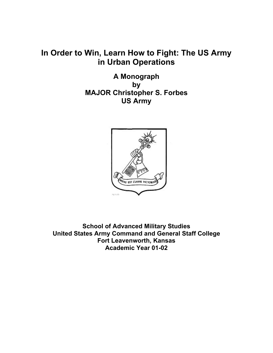# **In Order to Win, Learn How to Fight: The US Army in Urban Operations**

**A Monograph by MAJOR Christopher S. Forbes US Army**



**School of Advanced Military Studies United States Army Command and General Staff College Fort Leavenworth, Kansas Academic Year 01-02**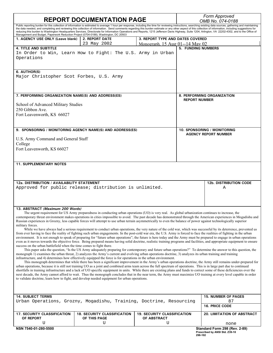| <b>REPORT DOCUMENTATION PAGE</b>                                                                                                                                                                                                                                                                                                                   |                                                                                                                                                                                                                                                                                                                                                                                                                                                                                                                                                                                                                                            |                                    | Form Approved<br>OMB No. 074-0188 |                                       |
|----------------------------------------------------------------------------------------------------------------------------------------------------------------------------------------------------------------------------------------------------------------------------------------------------------------------------------------------------|--------------------------------------------------------------------------------------------------------------------------------------------------------------------------------------------------------------------------------------------------------------------------------------------------------------------------------------------------------------------------------------------------------------------------------------------------------------------------------------------------------------------------------------------------------------------------------------------------------------------------------------------|------------------------------------|-----------------------------------|---------------------------------------|
| Management and Budget, Paperwork Reduction Project (0704-0188), Washington, DC 20503                                                                                                                                                                                                                                                               | Public reporting burden for this collection of information is estimated to average 1 hour per response, including the time for reviewing instructions, searching existing data sources, gathering and maintaining<br>the data needed, and completing and reviewing this collection of information. Send comments regarding this burden estimate or any other aspect of this collection of information, including suggestions for<br>reducing this burden to Washington Headquarters Services, Directorate for Information Operations and Reports, 1215 Jefferson Davis Highway, Suite 1204, Arlington, VA 22202-4302, and to the Office of |                                    |                                   |                                       |
| 1. AGENCY USE ONLY (Leave blank)                                                                                                                                                                                                                                                                                                                   | <b>2. REPORT DATE</b>                                                                                                                                                                                                                                                                                                                                                                                                                                                                                                                                                                                                                      | 3. REPORT TYPE AND DATES COVERED   |                                   |                                       |
| <b>4. TITLE AND SUBTITLE</b>                                                                                                                                                                                                                                                                                                                       | 23 May 2002                                                                                                                                                                                                                                                                                                                                                                                                                                                                                                                                                                                                                                | Monograph. 15 Aug 01--14 May 02    | <b>5. FUNDING NUMBERS</b>         |                                       |
|                                                                                                                                                                                                                                                                                                                                                    | In Order to Win, Learn How to Fight: The U.S. Army in Urban                                                                                                                                                                                                                                                                                                                                                                                                                                                                                                                                                                                |                                    |                                   |                                       |
| Operations                                                                                                                                                                                                                                                                                                                                         |                                                                                                                                                                                                                                                                                                                                                                                                                                                                                                                                                                                                                                            |                                    |                                   |                                       |
|                                                                                                                                                                                                                                                                                                                                                    |                                                                                                                                                                                                                                                                                                                                                                                                                                                                                                                                                                                                                                            |                                    |                                   |                                       |
| 6. AUTHOR(S)                                                                                                                                                                                                                                                                                                                                       |                                                                                                                                                                                                                                                                                                                                                                                                                                                                                                                                                                                                                                            |                                    |                                   |                                       |
| Major Christopher Scot Forbes, U.S. Army                                                                                                                                                                                                                                                                                                           |                                                                                                                                                                                                                                                                                                                                                                                                                                                                                                                                                                                                                                            |                                    |                                   |                                       |
|                                                                                                                                                                                                                                                                                                                                                    |                                                                                                                                                                                                                                                                                                                                                                                                                                                                                                                                                                                                                                            |                                    |                                   |                                       |
| 7. PERFORMING ORGANIZATION NAME(S) AND ADDRESS(ES)                                                                                                                                                                                                                                                                                                 |                                                                                                                                                                                                                                                                                                                                                                                                                                                                                                                                                                                                                                            |                                    |                                   | 8. PERFORMING ORGANIZATION            |
| School of Advanced Military Studies                                                                                                                                                                                                                                                                                                                |                                                                                                                                                                                                                                                                                                                                                                                                                                                                                                                                                                                                                                            |                                    | <b>REPORT NUMBER</b>              |                                       |
| 250 Gibbon Ave.                                                                                                                                                                                                                                                                                                                                    |                                                                                                                                                                                                                                                                                                                                                                                                                                                                                                                                                                                                                                            |                                    |                                   |                                       |
| Fort Leavenworth, KS 66027                                                                                                                                                                                                                                                                                                                         |                                                                                                                                                                                                                                                                                                                                                                                                                                                                                                                                                                                                                                            |                                    |                                   |                                       |
|                                                                                                                                                                                                                                                                                                                                                    |                                                                                                                                                                                                                                                                                                                                                                                                                                                                                                                                                                                                                                            |                                    |                                   |                                       |
|                                                                                                                                                                                                                                                                                                                                                    | 9. SPONSORING / MONITORING AGENCY NAME(S) AND ADDRESS(ES)                                                                                                                                                                                                                                                                                                                                                                                                                                                                                                                                                                                  |                                    |                                   | 10. SPONSORING / MONITORING           |
| U.S. Army Command and General Staff                                                                                                                                                                                                                                                                                                                |                                                                                                                                                                                                                                                                                                                                                                                                                                                                                                                                                                                                                                            |                                    |                                   | <b>AGENCY REPORT NUMBER</b>           |
| College                                                                                                                                                                                                                                                                                                                                            |                                                                                                                                                                                                                                                                                                                                                                                                                                                                                                                                                                                                                                            |                                    |                                   |                                       |
| Fort Leavenworth, KS 66027                                                                                                                                                                                                                                                                                                                         |                                                                                                                                                                                                                                                                                                                                                                                                                                                                                                                                                                                                                                            |                                    |                                   |                                       |
|                                                                                                                                                                                                                                                                                                                                                    |                                                                                                                                                                                                                                                                                                                                                                                                                                                                                                                                                                                                                                            |                                    |                                   |                                       |
| <b>11. SUPPLEMENTARY NOTES</b>                                                                                                                                                                                                                                                                                                                     |                                                                                                                                                                                                                                                                                                                                                                                                                                                                                                                                                                                                                                            |                                    |                                   |                                       |
|                                                                                                                                                                                                                                                                                                                                                    |                                                                                                                                                                                                                                                                                                                                                                                                                                                                                                                                                                                                                                            |                                    |                                   |                                       |
|                                                                                                                                                                                                                                                                                                                                                    |                                                                                                                                                                                                                                                                                                                                                                                                                                                                                                                                                                                                                                            |                                    |                                   |                                       |
| 12a. DISTRIBUTION / AVAILABILITY STATEMENT                                                                                                                                                                                                                                                                                                         |                                                                                                                                                                                                                                                                                                                                                                                                                                                                                                                                                                                                                                            |                                    |                                   | <b>12b. DISTRIBUTION CODE</b>         |
|                                                                                                                                                                                                                                                                                                                                                    | Approved for public release; distribution is unlimited.                                                                                                                                                                                                                                                                                                                                                                                                                                                                                                                                                                                    |                                    |                                   | Α                                     |
|                                                                                                                                                                                                                                                                                                                                                    |                                                                                                                                                                                                                                                                                                                                                                                                                                                                                                                                                                                                                                            |                                    |                                   |                                       |
|                                                                                                                                                                                                                                                                                                                                                    |                                                                                                                                                                                                                                                                                                                                                                                                                                                                                                                                                                                                                                            |                                    |                                   |                                       |
| 13. ABSTRACT (Maximum 200 Words)                                                                                                                                                                                                                                                                                                                   |                                                                                                                                                                                                                                                                                                                                                                                                                                                                                                                                                                                                                                            |                                    |                                   |                                       |
|                                                                                                                                                                                                                                                                                                                                                    | The urgent requirement for US Army preparedness in conducting urban operations (UO) is very real. As global urbanization continues to increase, the<br>contemporary threat environment makes operations in cities impossible to avoid. The past decade has demonstrated through the American experiences in Mogadishu and                                                                                                                                                                                                                                                                                                                  |                                    |                                   |                                       |
|                                                                                                                                                                                                                                                                                                                                                    | Russian experiences in Grozny, less capable forces will attempt to use urban terrain asymmetrically to even the balance of power against technologically superior                                                                                                                                                                                                                                                                                                                                                                                                                                                                          |                                    |                                   |                                       |
| military forces.                                                                                                                                                                                                                                                                                                                                   | While we have always had a serious requirement to conduct urban operations, the very nature of the cold war, which was successful by its deterrence, prevented us                                                                                                                                                                                                                                                                                                                                                                                                                                                                          |                                    |                                   |                                       |
|                                                                                                                                                                                                                                                                                                                                                    | from ever having to face the reality of fighting such urban engagements. In the post-cold war era, the U.S. Army is forced to face the realities of fighting in the urban                                                                                                                                                                                                                                                                                                                                                                                                                                                                  |                                    |                                   |                                       |
|                                                                                                                                                                                                                                                                                                                                                    | environment. It is not enough to speak of preparing for "future urban operations"; the future is here today and the Army must be prepared to engage in urban operations                                                                                                                                                                                                                                                                                                                                                                                                                                                                    |                                    |                                   |                                       |
| even as it moves towards the objective force. Being prepared means having solid doctrine, realistic training programs and facilities, and appropriate equipment to ensure<br>success on the urban battlefield when the time comes to fight there.                                                                                                  |                                                                                                                                                                                                                                                                                                                                                                                                                                                                                                                                                                                                                                            |                                    |                                   |                                       |
| This paper asks the question, "Is the US Army adequately preparing for contemporary and future urban operations?" To determine the answer to this question, the<br>monograph 1) examines the urban threat, 2) analyzes the Army's current and evolving urban operations doctrine, 3) analyzes its urban training and training                      |                                                                                                                                                                                                                                                                                                                                                                                                                                                                                                                                                                                                                                            |                                    |                                   |                                       |
| infrastructure, and 4) determines how effectively equipped the force is for operations in the urban environment.<br>This monograph determines that while there has been a significant improvement in the Army's urban operations doctrine, the Army still remains under-prepared for                                                               |                                                                                                                                                                                                                                                                                                                                                                                                                                                                                                                                                                                                                                            |                                    |                                   |                                       |
| urban operations, because it is still not training UO as a joint and combined arms team across the full spectrum of operations. This is in large part due to continued                                                                                                                                                                             |                                                                                                                                                                                                                                                                                                                                                                                                                                                                                                                                                                                                                                            |                                    |                                   |                                       |
| shortfalls in training infrastructure and a lack of UO specific equipment in units. While there are existing plans and funds to correct some of these deficiencies over the<br>next decade, the Army cannot afford to wait. Thus the monograph concludes that in the near term, the Army must maximize UO training at every level capable in order |                                                                                                                                                                                                                                                                                                                                                                                                                                                                                                                                                                                                                                            |                                    |                                   |                                       |
|                                                                                                                                                                                                                                                                                                                                                    | to validate doctrine, learn how to fight, and develop needed equipment for urban operations.                                                                                                                                                                                                                                                                                                                                                                                                                                                                                                                                               |                                    |                                   |                                       |
|                                                                                                                                                                                                                                                                                                                                                    |                                                                                                                                                                                                                                                                                                                                                                                                                                                                                                                                                                                                                                            |                                    |                                   |                                       |
|                                                                                                                                                                                                                                                                                                                                                    |                                                                                                                                                                                                                                                                                                                                                                                                                                                                                                                                                                                                                                            |                                    |                                   |                                       |
| <b>14. SUBJECT TERMS</b>                                                                                                                                                                                                                                                                                                                           | Urban Operations, Grozny, Mogadishu, Training, Doctrine, Resourcing                                                                                                                                                                                                                                                                                                                                                                                                                                                                                                                                                                        |                                    |                                   | <b>15. NUMBER OF PAGES</b><br>87      |
|                                                                                                                                                                                                                                                                                                                                                    |                                                                                                                                                                                                                                                                                                                                                                                                                                                                                                                                                                                                                                            |                                    |                                   | <b>16. PRICE CODE</b>                 |
| 17. SECURITY CLASSIFICATION                                                                                                                                                                                                                                                                                                                        | <b>18. SECURITY CLASSIFICATION</b>                                                                                                                                                                                                                                                                                                                                                                                                                                                                                                                                                                                                         | <b>19. SECURITY CLASSIFICATION</b> |                                   | 20. LIMITATION OF ABSTRACT            |
| OF REPORT                                                                                                                                                                                                                                                                                                                                          | OF THIS PAGE                                                                                                                                                                                                                                                                                                                                                                                                                                                                                                                                                                                                                               | OF ABSTRACT                        |                                   |                                       |
| U<br>NSN 7540-01-280-5500                                                                                                                                                                                                                                                                                                                          | U                                                                                                                                                                                                                                                                                                                                                                                                                                                                                                                                                                                                                                          | U                                  |                                   | none<br>Standard Form 298 (Rev. 2-89) |
|                                                                                                                                                                                                                                                                                                                                                    |                                                                                                                                                                                                                                                                                                                                                                                                                                                                                                                                                                                                                                            |                                    | 298-102                           | Prescribed by ANSI Std. Z39-18        |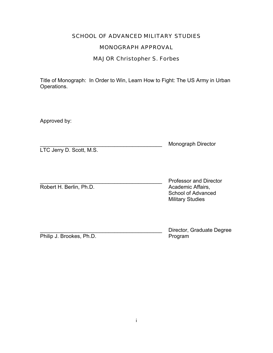# SCHOOL OF ADVANCED MILITARY STUDIES

# MONOGRAPH APPROVAL

# MAJOR Christopher S. Forbes

Title of Monograph: In Order to Win, Learn How to Fight: The US Army in Urban Operations.

Approved by:

|                          | <b>Monograph Director</b> |
|--------------------------|---------------------------|
| LTC Jerry D. Scott, M.S. |                           |

Robert H. Berlin, Ph.D. **Academic Affairs**,

Professor and Director School of Advanced Military Studies

Philip J. Brookes, Ph.D.

Director, Graduate Degree<br>Program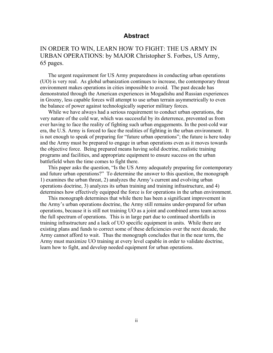## **Abstract**

# IN ORDER TO WIN, LEARN HOW TO FIGHT: THE US ARMY IN URBAN OPERATIONS: by MAJOR Christopher S. Forbes, US Army, 65 pages.

The urgent requirement for US Army preparedness in conducting urban operations (UO) is very real. As global urbanization continues to increase, the contemporary threat environment makes operations in cities impossible to avoid. The past decade has demonstrated through the American experiences in Mogadishu and Russian experiences in Grozny, less capable forces will attempt to use urban terrain asymmetrically to even the balance of power against technologically superior military forces.

While we have always had a serious requirement to conduct urban operations, the very nature of the cold war, which was successful by its deterrence, prevented us from ever having to face the reality of fighting such urban engagements. In the post-cold war era, the U.S. Army is forced to face the realities of fighting in the urban environment. It is not enough to speak of preparing for "future urban operations"; the future is here today and the Army must be prepared to engage in urban operations even as it moves towards the objective force. Being prepared means having solid doctrine, realistic training programs and facilities, and appropriate equipment to ensure success on the urban battlefield when the time comes to fight there.

This paper asks the question, "Is the US Army adequately preparing for contemporary and future urban operations?" To determine the answer to this question, the monograph 1) examines the urban threat, 2) analyzes the Army's current and evolving urban operations doctrine, 3) analyzes its urban training and training infrastructure, and 4) determines how effectively equipped the force is for operations in the urban environment.

This monograph determines that while there has been a significant improvement in the Army's urban operations doctrine, the Army still remains under-prepared for urban operations, because it is still not training UO as a joint and combined arms team across the full spectrum of operations. This is in large part due to continued shortfalls in training infrastructure and a lack of UO specific equipment in units. While there are existing plans and funds to correct some of these deficiencies over the next decade, the Army cannot afford to wait. Thus the monograph concludes that in the near term, the Army must maximize UO training at every level capable in order to validate doctrine, learn how to fight, and develop needed equipment for urban operations.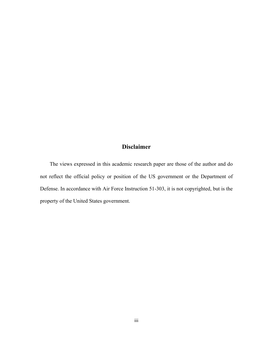# **Disclaimer**

The views expressed in this academic research paper are those of the author and do not reflect the official policy or position of the US government or the Department of Defense. In accordance with Air Force Instruction 51-303, it is not copyrighted, but is the property of the United States government.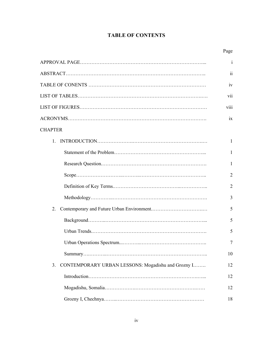# **TABLE OF CONTENTS**

|                                                          | $\mathbf{i}$            |
|----------------------------------------------------------|-------------------------|
|                                                          | $\overline{\mathbf{u}}$ |
|                                                          | 1V                      |
|                                                          | vii                     |
|                                                          | <b>V111</b>             |
|                                                          | 1X                      |
| <b>CHAPTER</b>                                           |                         |
| $\mathbf{1}$                                             | $\mathbf{1}$            |
|                                                          | 1                       |
|                                                          | $\mathbf{1}$            |
|                                                          | 2                       |
|                                                          | 2                       |
|                                                          | 3                       |
| 2.                                                       | 5                       |
|                                                          | 5                       |
|                                                          | 5                       |
|                                                          | 7                       |
|                                                          | 10                      |
| CONTEMPORARY URBAN LESSONS: Mogadishu and Grozny I<br>3. | 12                      |
|                                                          | 12                      |
|                                                          | 12                      |
|                                                          | 18                      |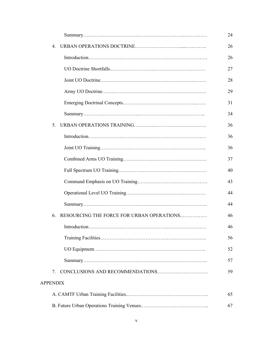|                 |    |                                           | 24 |
|-----------------|----|-------------------------------------------|----|
|                 | 4  |                                           | 26 |
|                 |    |                                           | 26 |
|                 |    |                                           | 27 |
|                 |    |                                           | 28 |
|                 |    |                                           | 29 |
|                 |    |                                           | 31 |
|                 |    |                                           | 34 |
|                 | 5  |                                           | 36 |
|                 |    |                                           | 36 |
|                 |    |                                           | 36 |
|                 |    |                                           | 37 |
|                 |    |                                           | 40 |
|                 |    |                                           | 43 |
|                 |    |                                           | 44 |
|                 |    |                                           | 44 |
|                 | 6. | RESOURCING THE FORCE FOR URBAN OPERATIONS | 46 |
|                 |    |                                           | 46 |
|                 |    |                                           | 56 |
|                 |    |                                           | 52 |
|                 |    |                                           | 57 |
|                 | 7. |                                           | 59 |
| <b>APPENDIX</b> |    |                                           |    |
|                 |    |                                           | 65 |
|                 |    |                                           | 67 |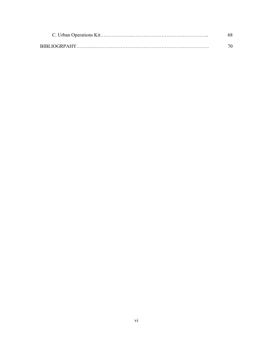|                     | 68 |
|---------------------|----|
| <b>BIBLIOGRPAHY</b> |    |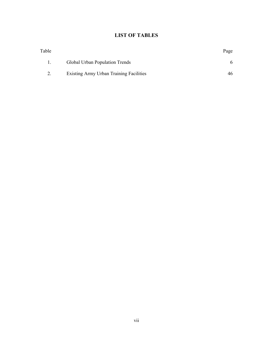# **LIST OF TABLES**

|                                         | Page |
|-----------------------------------------|------|
| Global Urban Population Trends          |      |
| Existing Army Urban Training Facilities | 46   |
|                                         |      |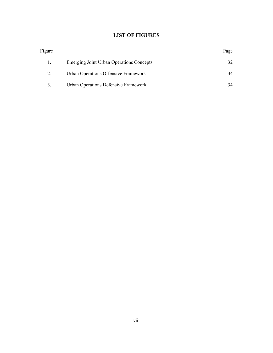# **LIST OF FIGURES**

| Figure |                                          | Page |
|--------|------------------------------------------|------|
|        | Emerging Joint Urban Operations Concepts | 32   |
|        | Urban Operations Offensive Framework     | 34   |
|        | Urban Operations Defensive Framework     | 34   |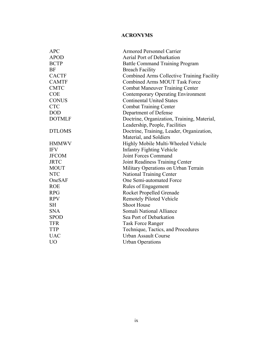# **ACRONYMS**

| <b>APC</b>     | <b>Armored Personnel Carrier</b>                  |  |  |
|----------------|---------------------------------------------------|--|--|
| <b>APOD</b>    | Aerial Port of Debarkation                        |  |  |
| <b>BCTP</b>    | <b>Battle Command Training Program</b>            |  |  |
| <b>BF</b>      | <b>Breach Facility</b>                            |  |  |
| <b>CACTF</b>   | <b>Combined Arms Collective Training Facility</b> |  |  |
| <b>CAMTF</b>   | <b>Combined Arms MOUT Task Force</b>              |  |  |
| <b>CMTC</b>    | <b>Combat Maneuver Training Center</b>            |  |  |
| <b>COE</b>     | Contemporary Operating Environment                |  |  |
| <b>CONUS</b>   | <b>Continental United States</b>                  |  |  |
| <b>CTC</b>     | <b>Combat Training Center</b>                     |  |  |
| <b>DOD</b>     | Department of Defense                             |  |  |
| <b>DOTMLF</b>  | Doctrine, Organization, Training, Material,       |  |  |
|                | Leadership, People, Facilities                    |  |  |
| <b>DTLOMS</b>  | Doctrine, Training, Leader, Organization,         |  |  |
|                | Material, and Soldiers                            |  |  |
| <b>HMMWV</b>   | Highly Mobile Multi-Wheeled Vehicle               |  |  |
| <b>IFV</b>     | <b>Infantry Fighting Vehicle</b>                  |  |  |
| <b>JFCOM</b>   | Joint Forces Command                              |  |  |
| <b>JRTC</b>    | Joint Readiness Training Center                   |  |  |
| <b>MOUT</b>    | Military Operations on Urban Terrain              |  |  |
| <b>NTC</b>     | <b>National Training Center</b>                   |  |  |
| OneSAF         | One Semi-automated Force                          |  |  |
| <b>ROE</b>     | Rules of Engagement                               |  |  |
| <b>RPG</b>     | Rocket Propelled Grenade                          |  |  |
| <b>RPV</b>     | <b>Remotely Piloted Vehicle</b>                   |  |  |
| <b>SH</b>      | <b>Shoot House</b>                                |  |  |
| <b>SNA</b>     | Somali National Alliance                          |  |  |
| <b>SPOD</b>    | Sea Port of Debarkation                           |  |  |
| <b>TFR</b>     | <b>Task Force Ranger</b>                          |  |  |
| <b>TTP</b>     | Technique, Tactics, and Procedures                |  |  |
| <b>UAC</b>     | <b>Urban Assault Course</b>                       |  |  |
| U <sub>O</sub> | <b>Urban Operations</b>                           |  |  |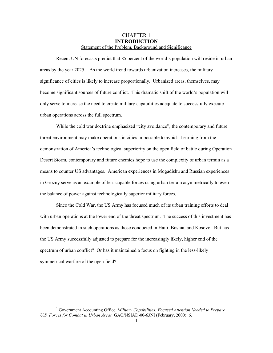### CHAPTER 1 **INTRODUCTION**  Statement of the Problem, Background and Significance

Recent UN forecasts predict that 85 percent of the world's population will reside in urban areas by the year  $2025<sup>1</sup>$  $2025<sup>1</sup>$  $2025<sup>1</sup>$ . As the world trend towards urbanization increases, the military significance of cities is likely to increase proportionally. Urbanized areas, themselves, may become significant sources of future conflict. This dramatic shift of the world's population will only serve to increase the need to create military capabilities adequate to successfully execute urban operations across the full spectrum.

While the cold war doctrine emphasized "city avoidance", the contemporary and future threat environment may make operations in cities impossible to avoid. Learning from the demonstration of America's technological superiority on the open field of battle during Operation Desert Storm, contemporary and future enemies hope to use the complexity of urban terrain as a means to counter US advantages. American experiences in Mogadishu and Russian experiences in Grozny serve as an example of less capable forces using urban terrain asymmetrically to even the balance of power against technologically superior military forces.

Since the Cold War, the US Army has focused much of its urban training efforts to deal with urban operations at the lower end of the threat spectrum. The success of this investment has been demonstrated in such operations as those conducted in Haiti, Bosnia, and Kosovo. But has the US Army successfully adjusted to prepare for the increasingly likely, higher end of the spectrum of urban conflict? Or has it maintained a focus on fighting in the less-likely symmetrical warfare of the open field?

l

<span id="page-11-0"></span><sup>&</sup>lt;sup>1</sup> Government Accounting Office, *Military Capabilities: Focused Attention Needed to Prepare U.S. Forces for Combat in Urban Areas,* GAO/NSIAD-00-63NI (February, 2000): 6.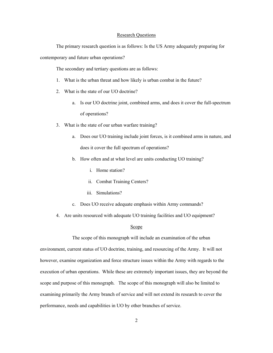#### Research Questions

The primary research question is as follows: Is the US Army adequately preparing for contemporary and future urban operations?

The secondary and tertiary questions are as follows:

- 1. What is the urban threat and how likely is urban combat in the future?
- 2. What is the state of our UO doctrine?
	- a. Is our UO doctrine joint, combined arms, and does it cover the full-spectrum of operations?
- 3. What is the state of our urban warfare training?
	- a. Does our UO training include joint forces, is it combined arms in nature, and does it cover the full spectrum of operations?
	- b. How often and at what level are units conducting UO training?
		- i. Home station?
		- ii. Combat Training Centers?
		- iii. Simulations?
	- c. Does UO receive adequate emphasis within Army commands?
- 4. Are units resourced with adequate UO training facilities and UO equipment?

#### Scope

The scope of this monograph will include an examination of the urban environment, current status of UO doctrine, training, and resourcing of the Army. It will not however, examine organization and force structure issues within the Army with regards to the execution of urban operations. While these are extremely important issues, they are beyond the scope and purpose of this monograph. The scope of this monograph will also be limited to examining primarily the Army branch of service and will not extend its research to cover the performance, needs and capabilities in UO by other branches of service.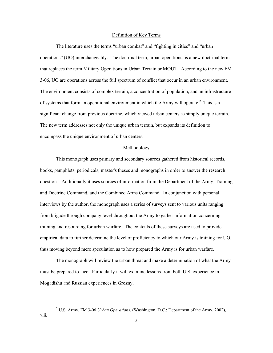#### Definition of Key Terms

The literature uses the terms "urban combat" and "fighting in cities" and "urban operations" (UO) interchangeably. The doctrinal term, urban operations, is a new doctrinal term that replaces the term Military Operations in Urban Terrain or MOUT. According to the new FM 3-06, UO are operations across the full spectrum of conflict that occur in an urban environment. The environment consists of complex terrain, a concentration of population, and an infrastructure of systems that form an operational environment in which the Army will operate.<sup>2</sup> This is a significant change from previous doctrine, which viewed urban centers as simply unique terrain. The new term addresses not only the unique urban terrain, but expands its definition to encompass the unique environment of urban centers.

### Methodology

This monograph uses primary and secondary sources gathered from historical records, books, pamphlets, periodicals, master's theses and monographs in order to answer the research question. Additionally it uses sources of information from the Department of the Army, Training and Doctrine Command, and the Combined Arms Command. In conjunction with personal interviews by the author, the monograph uses a series of surveys sent to various units ranging from brigade through company level throughout the Army to gather information concerning training and resourcing for urban warfare. The contents of these surveys are used to provide empirical data to further determine the level of proficiency to which our Army is training for UO, thus moving beyond mere speculation as to how prepared the Army is for urban warfare.

The monograph will review the urban threat and make a determination of what the Army must be prepared to face. Particularly it will examine lessons from both U.S. experience in Mogadishu and Russian experiences in Grozny.

l

<span id="page-13-0"></span><sup>2</sup> U.S. Army, FM 3-06 *Urban Operations*, (Washington, D.C.: Department of the Army, 2002), viii.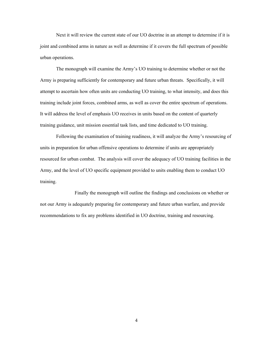Next it will review the current state of our UO doctrine in an attempt to determine if it is joint and combined arms in nature as well as determine if it covers the full spectrum of possible urban operations.

The monograph will examine the Army's UO training to determine whether or not the Army is preparing sufficiently for contemporary and future urban threats. Specifically, it will attempt to ascertain how often units are conducting UO training, to what intensity, and does this training include joint forces, combined arms, as well as cover the entire spectrum of operations. It will address the level of emphasis UO receives in units based on the content of quarterly training guidance, unit mission essential task lists, and time dedicated to UO training.

Following the examination of training readiness, it will analyze the Army's resourcing of units in preparation for urban offensive operations to determine if units are appropriately resourced for urban combat. The analysis will cover the adequacy of UO training facilities in the Army, and the level of UO specific equipment provided to units enabling them to conduct UO training.

 Finally the monograph will outline the findings and conclusions on whether or not our Army is adequately preparing for contemporary and future urban warfare, and provide recommendations to fix any problems identified in UO doctrine, training and resourcing.

4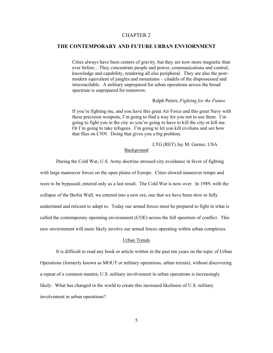### CHAPTER 2

### **THE CONTEMPORARY AND FUTURE URBAN ENVIORNMENT**

Cities always have been centers of gravity, but they are now more magnetic than ever before…They concentrate people and power, communications and control, knowledge and capability, rendering all else peripheral. They are also the postmodern equivalent of jungles and mountains – citadels of the dispossessed and irreconcilable. A military unprepared for urban operations across the broad spectrum is unprepared for tomorrow.

#### Ralph Peters, *Fighting for the Future*

If you're fighting me, and you have this great Air Force and this great Navy with these precision weapons, I'm going to find a way for you not to use them. I'm going to fight you in the city so you're going to have to kill the city or kill me. Or I'm going to take refugees. I'm going to let you kill civilians and see how that flies on CNN. Doing that gives you a big problem.

LTG (RET) Jay M. Garner, USA

### Background

During the Cold War, U.S. Army doctrine stressed city avoidance in favor of fighting

with large maneuver forces on the open plains of Europe. Cities slowed maneuver tempo and were to be bypassed; entered only as a last result. The Cold War is now over. In 1989, with the collapse of the Berlin Wall, we entered into a new era; one that we have been slow to fully understand and reticent to adapt to. Today our armed forces must be prepared to fight in what is called the contemporary operating environment (COE) across the full spectrum of conflict. This new environment will more likely involve our armed forces operating within urban complexes.

#### Urban Trends

It is difficult to read any book or article written in the past ten years on the topic of Urban Operations (formerly known as MOUT or military operations, urban terrain), without discovering a repeat of a common mantra; U.S. military involvement in urban operations is increasingly likely. What has changed in the world to create this increased likeliness of U.S. military involvement in urban operations?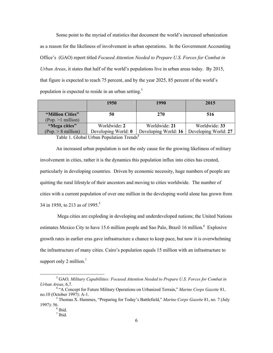Some point to the myriad of statistics that document the world's increased urbanization as a reason for the likeliness of involvement in urban operations. In the Government Accounting Office's (GAO) report titled *Focused Attention Needed to Prepare U.S. Forces for Combat in Urban Areas*, it states that half of the world's populations live in urban areas today. By 2015, that figure is expected to reach 75 percent, and by the year 2025, 85 percent of the world's population is expected to reside in an urban setting.<sup>[3](#page-16-0)</sup>

|                                         | 1950                                | 1990                                  | 2015                                  |
|-----------------------------------------|-------------------------------------|---------------------------------------|---------------------------------------|
| "Million Cities"<br>$(Pop. >1$ million) | 50                                  | 270                                   | 516                                   |
| "Mega cities"<br>$(Pop. > 8$ million)   | Worldwide: 2<br>Developing World: 0 | Worldwide: 21<br>Developing World: 16 | Worldwide: 33<br>Developing World: 27 |

Table 1. Global Urban Population Trends<sup>[4](#page-16-1)</sup>

An increased urban population is not the only cause for the growing likeliness of military involvement in cities, rather it is the dynamics this population influx into cities has created, particularly in developing countries. Driven by economic necessity, huge numbers of people are quitting the rural lifestyle of their ancestors and moving to cities worldwide. The number of cities with a current population of over one million in the developing world alone has grown from 34 in 19[5](#page-16-2)0, to 213 as of 1995.<sup>5</sup>

 Mega cities are exploding in developing and underdeveloped nations; the United Nations estimates Mexico City to have 15[.6](#page-16-3) million people and Sao Palo, Brazil 16 million.<sup>6</sup> Explosive growth rates in earlier eras gave infrastructure a chance to keep pace, but now it is overwhelming the infrastructure of many cities. Cairo's population equals 15 million with an infrastructure to support only 2 million. $<sup>7</sup>$  $<sup>7</sup>$  $<sup>7</sup>$ </sup>

<span id="page-16-0"></span> <sup>3</sup> GAO*, Military Capabilities: Focused Attention Needed to Prepare U.S. Forces for Combat in Urban Areas*, 6,7. 4

<span id="page-16-1"></span><sup>&</sup>lt;sup>4</sup> "A Concept for Future Military Operations on Urbanized Terrain," Marine Corps Gazette 81, no.10 (October 1997): A-1. 5

Thomas X. Hammes, "Preparing for Today's Battlefield," *Marine Corps Gazette* 81, no. 7 (July 1997): 56.

<span id="page-16-3"></span><span id="page-16-2"></span> $\frac{6}{7}$  Ibid.

<span id="page-16-4"></span> $7$  Ibid.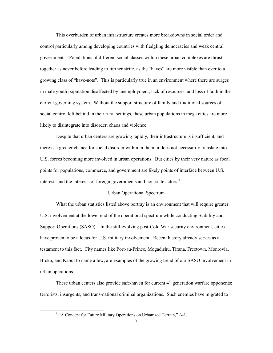This overburden of urban infrastructure creates more breakdowns in social order and control particularly among developing countries with fledgling democracies and weak central governments. Populations of different social classes within these urban complexes are thrust together as never before leading to further strife, as the "haves" are more visible than ever to a growing class of "have-nots". This is particularly true in an environment where there are surges in male youth population disaffected by unemployment, lack of resources, and loss of faith in the current governing system. Without the support structure of family and traditional sources of social control left behind in their rural settings, these urban populations in mega cities are more likely to disintegrate into disorder, chaos and violence.

Despite that urban centers are growing rapidly, their infrastructure is insufficient, and there is a greater chance for social disorder within in them, it does not necessarily translate into U.S. forces becoming more involved in urban operations. But cities by their very nature as focal points for populations, commerce, and government are likely points of interface between U.S. interestsand the interests of foreign governments and non-state actors.<sup>8</sup>

#### Urban Operational Spectrum

What the urban statistics listed above portray is an environment that will require greater U.S. involvement at the lower end of the operational spectrum while conducting Stability and Support Operations (SASO). In the still-evolving post-Cold War security environment, cities have proven to be a locus for U.S. military involvement. Recent history already serves as a testament to this fact. City names like Port-au-Prince, Mogadishu, Tirana, Freetown, Monrovia, Brcko, and Kabul to name a few, are examples of the growing trend of our SASO involvement in urban operations.

These urban centers also provide safe-haven for current  $4<sup>th</sup>$  generation warfare opponents; terrorists, insurgents, and trans-national criminal organizations. Such enemies have migrated to

 $\overline{\phantom{a}}$ 

<span id="page-17-0"></span><sup>&</sup>lt;sup>8</sup> "A Concept for Future Military Operations on Urbanized Terrain," A-1.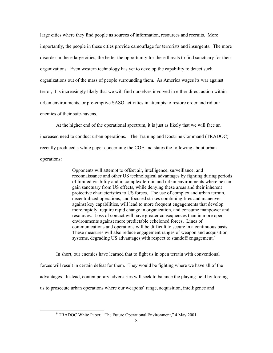large cities where they find people as sources of information, resources and recruits. More importantly, the people in these cities provide camouflage for terrorists and insurgents. The more disorder in these large cities, the better the opportunity for these threats to find sanctuary for their organizations. Even western technology has yet to develop the capability to detect such organizations out of the mass of people surrounding them. As America wages its war against terror, it is increasingly likely that we will find ourselves involved in either direct action within urban environments, or pre-emptive SASO activities in attempts to restore order and rid our enemies of their safe-havens.

At the higher end of the operational spectrum, it is just as likely that we will face an increased need to conduct urban operations. The Training and Doctrine Command (TRADOC) recently produced a white paper concerning the COE and states the following about urban operations:

> Opponents will attempt to offset air, intelligence, surveillance, and reconnaissance and other US technological advantages by fighting during periods of limited visibility and in complex terrain and urban environments where he can gain sanctuary from US effects, while denying these areas and their inherent protective characteristics to US forces. The use of complex and urban terrain, decentralized operations, and focused strikes combining fires and maneuver against key capabilities, will lead to more frequent engagements that develop more rapidly, require rapid change in organization, and consume manpower and resources. Loss of contact will have greater consequences than in more open environments against more predictable echeloned forces. Lines of communications and operations will be difficult to secure in a continuous basis. These measures will also reduce engagement ranges of weapon and acquisition systems, degrading US advantages with respect to standoff engagement.<sup>[9](#page-18-0)</sup>

In short, our enemies have learned that to fight us in open terrain with conventional forces will result in certain defeat for them. They would be fighting where we have all of the advantages. Instead, contemporary adversaries will seek to balance the playing field by forcing us to prosecute urban operations where our weapons' range, acquisition, intelligence and

-

<span id="page-18-0"></span><sup>&</sup>lt;sup>9</sup> TRADOC White Paper, "The Future Operational Environment," 4 May 2001.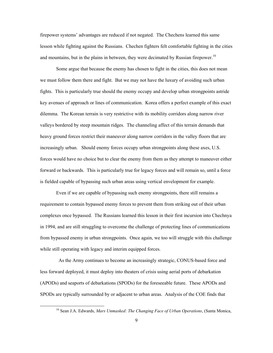<span id="page-19-0"></span>firepower systems' advantages are reduced if not negated. The Chechens learned this same lesson while fighting against the Russians. Chechen fighters felt comfortable fighting in the cities and mountains, but in the plains in between, they were decimated by Russian firepower.<sup>[10](#page-19-0)</sup>

Some argue that because the enemy has chosen to fight in the cities, this does not mean we must follow them there and fight. But we may not have the luxury of avoiding such urban fights. This is particularly true should the enemy occupy and develop urban strongpoints astride key avenues of approach or lines of communication. Korea offers a perfect example of this exact dilemma. The Korean terrain is very restrictive with its mobility corridors along narrow river valleys bordered by steep mountain ridges. The channeling affect of this terrain demands that heavy ground forces restrict their maneuver along narrow corridors in the valley floors that are increasingly urban. Should enemy forces occupy urban strongpoints along these axes, U.S. forces would have no choice but to clear the enemy from them as they attempt to maneuver either forward or backwards. This is particularly true for legacy forces and will remain so, until a force is fielded capable of bypassing such urban areas using vertical envelopment for example.

Even if we are capable of bypassing such enemy strongpoints, there still remains a requirement to contain bypassed enemy forces to prevent them from striking out of their urban complexes once bypassed. The Russians learned this lesson in their first incursion into Chechnya in 1994, and are still struggling to overcome the challenge of protecting lines of communications from bypassed enemy in urban strongpoints. Once again, we too will struggle with this challenge while still operating with legacy and interim equipped forces.

 As the Army continues to become an increasingly strategic, CONUS-based force and less forward deployed, it must deploy into theaters of crisis using aerial ports of debarkation (APODs) and seaports of debarkations (SPODs) for the foreseeable future. These APODs and SPODs are typically surrounded by or adjacent to urban areas. Analysis of the COE finds that

 <sup>10</sup> Sean J.A. Edwards, *Mars Unmasked: The Changing Face of Urban Operations*, (Santa Monica,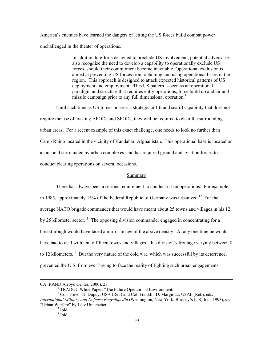America's enemies have learned the dangers of letting the US forces build combat power unchallenged in the theater of operations.

> In addition to efforts designed to preclude US involvement, potential adversaries also recognize the need to develop a capability to operationally exclude US forces, should their commitment become inevitable. Operational exclusion is aimed at preventing US forces from obtaining and using operational bases in the region. This approach is designed to attack expected historical patterns of US deployment and employment. This US pattern is seen as an operational paradigm and structure that requires entry operations, force build up and air and missile campaign prior to any full dimensional operation.<sup>[11](#page-20-0)</sup>

Until such time as US forces possess a strategic airlift and sealift capability that does not require the use of existing APODs and SPODs, they will be required to clear the surrounding urban areas. For a recent example of this exact challenge, one needs to look no further than Camp Rhino located in the vicinity of Kandahar, Afghanistan. This operational base is located on an airfield surrounded by urban complexes, and has required ground and aviation forces to conduct clearing operations on several occasions.

#### Summary

There has always been a serious requirement to conduct urban operations. For example, in 1985, approximately 15% of the Federal Republic of Germany was urbanized.<sup>12</sup> For the average NATO brigade commander that would have meant about 25 towns and villages in his 12 by 25 kilometer sector.<sup>13</sup> The opposing division commander engaged in concentrating for a breakthrough would have faced a mirror image of the above density. At any one time he would have had to deal with ten to fifteen towns and villages – his division's frontage varying between 8 to 12 kilometers.<sup>14</sup> But the very nature of the cold war, which was successful by its deterrence, prevented the U.S. from ever having to face the reality of fighting such urban engagements.

 $\overline{\phantom{a}}$ 

<span id="page-20-1"></span><span id="page-20-0"></span>

CA: RAND Arroyo Center, 2000), 28.<br><sup>11</sup> TRADOC White Paper, "The Future Operational Environment." <sup>12</sup> Col. Trevor N. Dupuy, USA (Ret.) and Col. Franklin D. Margiotta, USAF (Ret.), eds. *International Military and Defense Encyclopedia* (Washington, New York: Brassey's (US) Inc., 1993), s.v. "Urban Warfare" by Lutz Unterseher. 13 Ibid. 14 Ibid.

<span id="page-20-2"></span>

<span id="page-20-3"></span>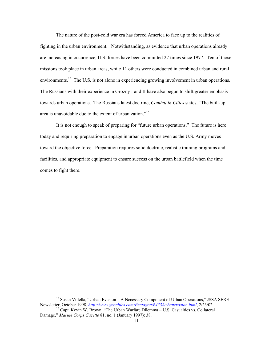The nature of the post-cold war era has forced America to face up to the realities of fighting in the urban environment. Notwithstanding, as evidence that urban operations already are increasing in occurrence, U.S. forces have been committed 27 times since 1977. Ten of those missions took place in urban areas, while 11 others were conducted in combined urban and rural environments.<sup>15</sup> The U.S. is not alone in experiencing growing involvement in urban operations. The Russians with their experience in Grozny I and II have also begun to shift greater emphasis towards urban operations. The Russians latest doctrine, *Combat in Cities* states, "The built-up area is unavoidable due to the extent of urbanization."[16](#page-21-1) 

It is not enough to speak of preparing for "future urban operations." The future is here today and requiring preparation to engage in urban operations even as the U.S. Army moves toward the objective force. Preparation requires solid doctrine, realistic training programs and facilities, and appropriate equipment to ensure success on the urban battlefield when the time comes to fight there.

<span id="page-21-0"></span><sup>&</sup>lt;sup>15</sup> Susan Villella, "Urban Evasion – A Necessary Component of Urban Operations," JSSA SERE Newsletter, October 1998, *<http://www.geocities.com/Pentagon/6453/urbanevasion.html>*, 2/23/02.

<span id="page-21-1"></span><sup>&</sup>lt;sup>16</sup> Capt. Kevin W. Brown, "The Urban Warfare Dilemma – U.S. Casualties vs. Collateral Damage," *Marine Corps Gazette* 81, no. 1 (January 1997): 38.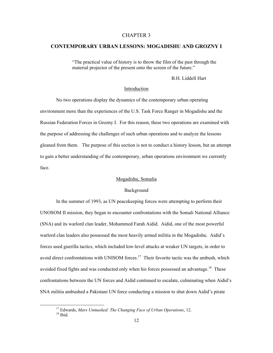### CHAPTER 3

### **CONTEMPORARY URBAN LESSONS: MOGADISHU AND GROZNY I**

"The practical value of history is to throw the film of the past through the material projector of the present onto the screen of the future."

B.H. Liddell Hart

### Introduction

No two operations display the dynamics of the contemporary urban operating environment more than the experiences of the U.S. Task Force Ranger in Mogadishu and the Russian Federation Forces in Grozny I. For this reason, these two operations are examined with the purpose of addressing the challenges of such urban operations and to analyze the lessons gleaned from them. The purpose of this section is not to conduct a history lesson, but an attempt to gain a better understanding of the contemporary, urban operations environment we currently face.

### Mogadishu, Somalia

#### Background

In the summer of 1993, as UN peacekeeping forces were attempting to perform their UNOSOM II mission, they began to encounter confrontations with the Somali National Alliance (SNA) and its warlord clan leader, Mohammed Farah Aidid. Aidid, one of the most powerful warlord clan leaders also possessed the most heavily armed militia in the Mogadishu. Aidid's forces used guerilla tactics, which included low-level attacks at weaker UN targets, in order to avoid direct confrontations with UNISOM forces.<sup>17</sup> Their favorite tactic was the ambush, which avoided fixed fights and was conducted only when his forces possessed an advantage.<sup>18</sup> These confrontations between the UN forces and Aidid continued to escalate, culminating when Aidid's SNA militia ambushed a Pakistani UN force conducting a mission to shut down Aidid's pirate

<span id="page-22-1"></span><span id="page-22-0"></span><sup>&</sup>lt;sup>17</sup> Edwards, *Mars Unmasked: The Changing Face of Urban Operations*, 12.<br><sup>18</sup> Ibid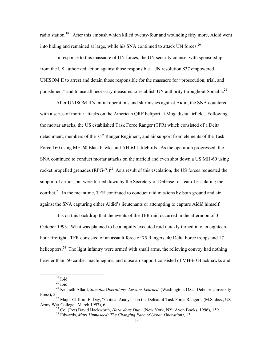radio station.<sup>19</sup> After this ambush which killed twenty-four and wounding fifty more, Aidid went into hiding and remained at large, while his SNA continued to attack UN forces.<sup>20</sup>

In response to this massacre of UN forces, the UN security counsel with sponsorship from the US authorized action against those responsible. UN resolution 837 empowered UNISOM II to arrest and detain those responsible for the massacre for "prosecution, trial, and punishment" and to use all necessary measures to establish UN authority throughout Somalia.<sup>[21](#page-23-2)</sup>

After UNISOM II's initial operations and skirmishes against Aidid, the SNA countered with a series of mortar attacks on the American QRF heliport at Mogadishu airfield. Following the mortar attacks, the US established Task Force Ranger (TFR) which consisted of a Delta detachment, members of the 75<sup>th</sup> Ranger Regiment, and air support from elements of the Task Force 160 using MH-60 Blackhawks and AH-6J Littlebirds. As the operation progressed, the SNA continued to conduct mortar attacks on the airfield and even shot down a US MH-60 using rocket propelled grenades  $(RPG-7)^{22}$  As a result of this escalation, the US forces requested the support of armor, but were turned down by the Secretary of Defense for fear of escalating the conflict.<sup>23</sup> In the meantime, TFR continued to conduct raid missions by both ground and air against the SNA capturing either Aidid's lieutenants or attempting to capture Aidid himself.

It is on this backdrop that the events of the TFR raid occurred in the afternoon of 3 October 1993. What was planned to be a rapidly executed raid quickly turned into an eighteenhour firefight. TFR consisted of an assault force of 75 Rangers, 40 Delta Force troops and 17 helicopters.<sup>24</sup> The light infantry were armed with small arms, the relieving convoy had nothing heavier than .50 caliber machineguns, and close air support consisted of MH-60 Blackhawks and

<span id="page-23-0"></span>

<span id="page-23-2"></span><span id="page-23-1"></span>

<sup>&</sup>lt;sup>19</sup> Ibid.<br><sup>20</sup> Ibid.<br><sup>21</sup> Kenneth Allard, *Somolia Operations: Lessons Learned*, (Washington, D.C.: Defense University

Press), 3. <sup>22</sup> Major Clifford E. Day, "Critical Analysis on the Defeat of Task Force Ranger", (M.S. diss., US Army War College, March 1997), 6.<br><sup>23</sup> Col (Ret) David Hackworth, *Hazardous Duty*, (New York, NY: Avon Books, 1996), 159.

<span id="page-23-3"></span>

<span id="page-23-5"></span><span id="page-23-4"></span><sup>24</sup> Edwards, *Mars Unmasked: The Changing Face of Urban Operations*, 13.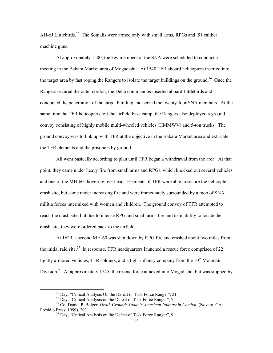AH-6J Littlebirds.<sup>25</sup> The Somalis were armed only with small arms, RPGs and .51 caliber machine guns.

At approximately 1500, the key members of the SNA were scheduled to conduct a meeting in the Bakara Market area of Mogadishu. At 1540 TFR aboard helicopters inserted into the target area by fast roping the Rangers to isolate the target buildings on the ground.<sup>26</sup> Once the Rangers secured the outer cordon, the Delta commandos inserted aboard Littlebirds and conducted the penetration of the target building and seized the twenty-four SNA members. At the same time the TFR helicopters left the airfield base camp, the Rangers also deployed a ground convoy consisting of highly mobile multi-wheeled vehicles (HMMWV) and 5-ton trucks. The ground convoy was to link up with TFR at the objective in the Bakara Market area and extricate the TFR elements and the prisoners by ground.

All went basically according to plan until TFR began a withdrawal from the area. At that point, they came under heavy fire from small arms and RPGs, which knocked out several vehicles and one of the MH-60s hovering overhead. Elements of TFR were able to secure the helicopter crash site, but came under increasing fire and were immediately surrounded by a mob of SNA militia forces intermixed with women and children. The ground convoy of TFR attempted to reach the crash site, but due to intense RPG and small arms fire and its inability to locate the crash site, they were ordered back to the airfield.

At 1629, a second MH-60 was shot down by RPG fire and crashed about two miles from the initial raid site.<sup>27</sup> In response, TFR headquarters launched a rescue force comprised of 22 lightly armored vehicles, TFR soldiers, and a light infantry company from the  $10<sup>th</sup>$  Mountain Division.<sup>28</sup> At approximately 1745, the rescue force attacked into Mogadishu, but was stopped by

<span id="page-24-0"></span>

<span id="page-24-2"></span><span id="page-24-1"></span>

<sup>&</sup>lt;sup>25</sup> Day, "Critical Analysis On the Defeat of Task Force Ranger", 21.<br><sup>26</sup> Day, "Critical Analysis on the Defeat of Task Force Ranger", 7.<br><sup>27</sup> Col Daniel P. Bolger, *Death Ground: Today's American Infantry in Combat*, (N Presidio Press, 1999), 203.

<span id="page-24-3"></span> $^{28}$  Day, "Critical Analysis on the Defeat of Task Force Ranger", 9.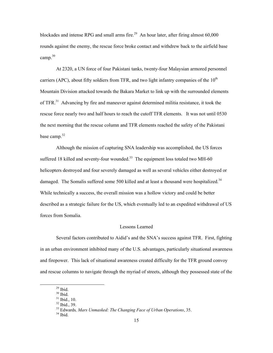blockades and intense RPG and small arms fire.<sup>29</sup> An hour later, after firing almost  $60,000$ rounds against the enemy, the rescue force broke contact and withdrew back to the airfield base camp. [30](#page-25-1) 

At 2320, a UN force of four Pakistani tanks, twenty-four Malaysian armored personnel carriers (APC), about fifty soldiers from TFR, and two light infantry companies of the  $10<sup>th</sup>$ Mountain Division attacked towards the Bakara Market to link up with the surrounded elements of TFR. $31$  Advancing by fire and maneuver against determined militia resistance, it took the rescue force nearly two and half hours to reach the cutoff TFR elements. It was not until 0530 the next morning that the rescue column and TFR elements reached the safety of the Pakistani base camp. $32$ 

Although the mission of capturing SNA leadership was accomplished, the US forces suffered 18 killed and seventy-four wounded.<sup>33</sup> The equipment loss totaled two MH-60 helicopters destroyed and four severely damaged as well as several vehicles either destroyed or damaged. The Somalis suffered some 500 killed and at least a thousand were hospitalized.<sup>34</sup> While technically a success, the overall mission was a hollow victory and could be better described as a strategic failure for the US, which eventually led to an expedited withdrawal of US forces from Somalia.

#### Lessons Learned

Several factors contributed to Aidid's and the SNA's success against TFR. First, fighting in an urban environment inhibited many of the U.S. advantages, particularly situational awareness and firepower. This lack of situational awareness created difficulty for the TFR ground convoy and rescue columns to navigate through the myriad of streets, although they possessed state of the

<span id="page-25-0"></span>

<span id="page-25-1"></span>

<span id="page-25-2"></span>

<span id="page-25-4"></span><span id="page-25-3"></span>

<sup>&</sup>lt;sup>29</sup> Ibid.<br><sup>30</sup> Ibid.<br><sup>31</sup> Ibid., 10.<br><sup>32</sup> Ibid., 39.<br><sup>33</sup> Edwards, *Mars Unmasked: The Changing Face of Urban Operations*, 35.<br><sup>34</sup> Ibid

<span id="page-25-5"></span>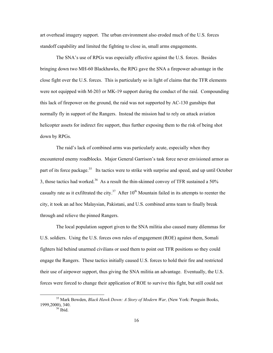art overhead imagery support. The urban environment also eroded much of the U.S. forces standoff capability and limited the fighting to close in, small arms engagements.

The SNA's use of RPGs was especially effective against the U.S. forces. Besides bringing down two MH-60 Blackhawks, the RPG gave the SNA a firepower advantage in the close fight over the U.S. forces. This is particularly so in light of claims that the TFR elements were not equipped with M-203 or MK-19 support during the conduct of the raid. Compounding this lack of firepower on the ground, the raid was not supported by AC-130 gunships that normally fly in support of the Rangers. Instead the mission had to rely on attack aviation helicopter assets for indirect fire support, thus further exposing them to the risk of being shot down by RPGs.

The raid's lack of combined arms was particularly acute, especially when they encountered enemy roadblocks. Major General Garrison's task force never envisioned armor as part of its force package.<sup>35</sup> Its tactics were to strike with surprise and speed, and up until October 3, those tactics had worked.<sup>36</sup> As a result the thin-skinned convoy of TFR sustained a 50% casualty rate as it exfiltrated the city.<sup>37</sup> After  $10^{th}$  Mountain failed in its attempts to reenter the city, it took an ad hoc Malaysian, Pakistani, and U.S. combined arms team to finally break through and relieve the pinned Rangers.

The local population support given to the SNA militia also caused many dilemmas for U.S. soldiers. Using the U.S. forces own rules of engagement (ROE) against them, Somali fighters hid behind unarmed civilians or used them to point out TFR positions so they could engage the Rangers. These tactics initially caused U.S. forces to hold their fire and restricted their use of airpower support, thus giving the SNA militia an advantage. Eventually, the U.S. forces were forced to change their application of ROE to survive this fight, but still could not

 <sup>35</sup> Mark Bowden, *Black Hawk Down: A Story of Modern War,* (New York: Penguin Books, 1999,2000), 340.<br><sup>36</sup> Ibid.

<span id="page-26-2"></span><span id="page-26-1"></span><span id="page-26-0"></span>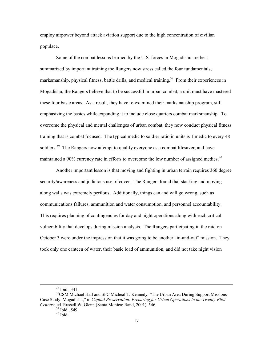employ airpower beyond attack aviation support due to the high concentration of civilian populace.

Some of the combat lessons learned by the U.S. forces in Mogadishu are best summarized by important training the Rangers now stress called the four fundamentals; marksmanship, physical fitness, battle drills, and medical training.<sup>38</sup> From their experiences in Mogadishu, the Rangers believe that to be successful in urban combat, a unit must have mastered these four basic areas. As a result, they have re-examined their marksmanship program, still emphasizing the basics while expanding it to include close quarters combat marksmanship. To overcome the physical and mental challenges of urban combat, they now conduct physical fitness training that is combat focused. The typical medic to soldier ratio in units is 1 medic to every 48 soldiers.<sup>39</sup> The Rangers now attempt to qualify everyone as a combat lifesaver, and have maintained a 90% currency rate in efforts to overcome the low number of assigned medics.<sup>[40](#page-27-2)</sup>

Another important lesson is that moving and fighting in urban terrain requires 360 degree security/awareness and judicious use of cover. The Rangers found that stacking and moving along walls was extremely perilous. Additionally, things can and will go wrong, such as communications failures, ammunition and water consumption, and personnel accountability. This requires planning of contingencies for day and night operations along with each critical vulnerability that develops during mission analysis. The Rangers participating in the raid on October 3 were under the impression that it was going to be another "in-and-out" mission. They took only one canteen of water, their basic load of ammunition, and did not take night vision

<span id="page-27-0"></span>

 $37$  Ibid., 341.<br> $38$ CSM Michael Hall and SFC Micheal T. Kennedy, "The Urban Area During Support Missions Case Study: Mogadishu," in *Capital Preservation: Preparing for Urban Operations in the Twenty-First Century*, ed. Russell W. Glenn (Santa Monica: Rand, 2001), 546.<br><sup>39</sup> Ibid., 549.<br><sup>40</sup> Ibid.

<span id="page-27-1"></span>

<span id="page-27-2"></span>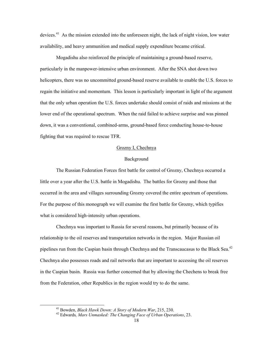devices.<sup>41</sup> As the mission extended into the unforeseen night, the lack of night vision, low water availability, and heavy ammunition and medical supply expenditure became critical.

Mogadishu also reinforced the principle of maintaining a ground-based reserve, particularly in the manpower-intensive urban environment. After the SNA shot down two helicopters, there was no uncommitted ground-based reserve available to enable the U.S. forces to regain the initiative and momentum. This lesson is particularly important in light of the argument that the only urban operation the U.S. forces undertake should consist of raids and missions at the lower end of the operational spectrum. When the raid failed to achieve surprise and was pinned down, it was a conventional, combined-arms, ground-based force conducting house-to-house fighting that was required to rescue TFR.

#### Grozny I, Chechnya

### Background

The Russian Federation Forces first battle for control of Grozny, Chechnya occurred a little over a year after the U.S. battle in Mogadishu. The battles for Grozny and those that occurred in the area and villages surrounding Grozny covered the entire spectrum of operations. For the purpose of this monograph we will examine the first battle for Grozny, which typifies what is considered high-intensity urban operations.

Chechnya was important to Russia for several reasons, but primarily because of its relationship to the oil reserves and transportation networks in the region. Major Russian oil pipelines run from the Caspian basin through Chechnya and the Transcaucasus to the Black Sea.<sup>42</sup> Chechnya also possesses roads and rail networks that are important to accessing the oil reserves in the Caspian basin. Russia was further concerned that by allowing the Chechens to break free from the Federation, other Republics in the region would try to do the same.

<span id="page-28-0"></span> <sup>41</sup> Bowden, *Black Hawk Down: A Story of Modern War*, 215, 230.

<span id="page-28-1"></span><sup>42</sup> Edwards*, Mars Unmasked: The Changing Face of Urban Operations*, 23.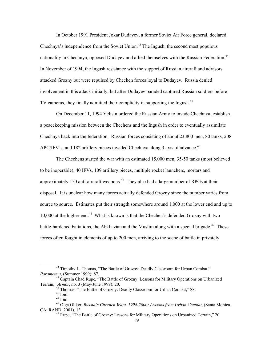In October 1991 President Jokar Dudayev, a former Soviet Air Force general, declared Chechnya's independence from the Soviet Union.<sup>43</sup> The Ingush, the second most populous nationality in Chechnya, opposed Dudayev and allied themselves with the Russian Federation.<sup>44</sup> In November of 1994, the Ingush resistance with the support of Russian aircraft and advisors attacked Grozny but were repulsed by Chechen forces loyal to Dudayev. Russia denied involvement in this attack initially, but after Dudayev paraded captured Russian soldiers before TV cameras, they finally admitted their complicity in supporting the Ingush.<sup>45</sup>

On December 11, 1994 Yeltsin ordered the Russian Army to invade Chechnya, establish a peacekeeping mission between the Chechens and the Ingush in order to eventually assimilate Chechnya back into the federation. Russian forces consisting of about 23,800 men, 80 tanks, 208 APC/IFV's, and 182 artillery pieces invaded Chechnya along 3 axis of advance.<sup>46</sup>

The Chechens started the war with an estimated 15,000 men, 35-50 tanks (most believed to be inoperable), 40 IFVs, 109 artillery pieces, multiple rocket launchers, mortars and approximately 150 anti-aircraft weapons.<sup>47</sup> They also had a large number of RPGs at their disposal. It is unclear how many forces actually defended Grozny since the number varies from source to source. Estimates put their strength somewhere around 1,000 at the lower end and up to 10,000 at the higher end.[48](#page-29-5) What is known is that the Chechen's defended Grozny with two battle-hardened battalions, the Abkhazian and the Muslim along with a special brigade.<sup>49</sup> These forces often fought in elements of up to 200 men, arriving to the scene of battle in privately

<span id="page-29-0"></span> $43$  Timothy L. Thomas, "The Battle of Grozny: Deadly Classroom for Urban Combat,"<br>Parameters, (Summer 1999): 87.

<sup>&</sup>lt;sup>44</sup> Captain Chad Rupe, "The Battle of Grozny: Lessons for Military Operations on Urbanized Terrain," Armor, no. 3 (May-June 1999): 20.<br>
<sup>45</sup> Thomas, "The Battle of Grozny: Deadly Classroom for Urban Combat," 88.<br>
<sup>46</sup> Ibid.<br>
<sup>47</sup> Ibid.<br>
<sup>48</sup> Olga Oliker, *Russia's Chechen Wars, 1994-2000: Lessons from Urban Comb* 

<span id="page-29-2"></span><span id="page-29-1"></span>

<span id="page-29-3"></span>

<span id="page-29-5"></span><span id="page-29-4"></span>

CA: RAND, 2001), 13.

<span id="page-29-6"></span> $49$  Rupe, "The Battle of Grozny: Lessons for Military Operations on Urbanized Terrain," 20.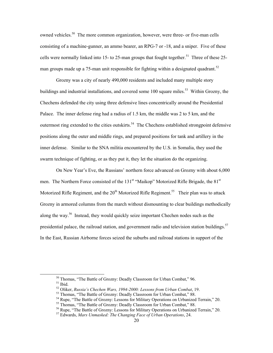owned vehicles.<sup>50</sup> The more common organization, however, were three- or five-man cells consisting of a machine-gunner, an ammo bearer, an RPG-7 or -18, and a sniper. Five of these cells were normally linked into 15- to 25-man groups that fought together.<sup>51</sup> Three of these 25man groups made up a 75-man unit responsible for fighting within a designated quadrant.<sup>52</sup>

Grozny was a city of nearly 490,000 residents and included many multiple story buildings and industrial installations, and covered some 100 square miles.<sup>53</sup> Within Grozny, the Chechens defended the city using three defensive lines concentrically around the Presidential Palace. The inner defense ring had a radius of 1.5 km, the middle was 2 to 5 km, and the outermost ring extended to the cities outskirts.<sup>54</sup> The Chechens established strongpoint defensive positions along the outer and middle rings, and prepared positions for tank and artillery in the inner defense. Similar to the SNA militia encountered by the U.S. in Somalia, they used the swarm technique of fighting, or as they put it, they let the situation do the organizing.

On New Year's Eve, the Russians' northern force advanced on Grozny with about 6,000 men. The Northern Force consisted of the 131<sup>st</sup> "Maikop" Motorized Rifle Brigade, the 81<sup>st</sup> Motorized Rifle Regiment, and the  $20<sup>th</sup>$  Motorized Rifle Regiment.<sup>55</sup> Their plan was to attack Grozny in armored columns from the march without dismounting to clear buildings methodically along the way.<sup>56</sup> Instead, they would quickly seize important Chechen nodes such as the presidential palace, the railroad station, and government radio and television station buildings.<sup>57</sup> In the East, Russian Airborne forces seized the suburbs and railroad stations in support of the

<span id="page-30-1"></span><span id="page-30-0"></span><sup>&</sup>lt;sup>50</sup> Thomas, "The Battle of Grozny: Deadly Classroom for Urban Combat," 96.<br><sup>51</sup> Ibid.<br><sup>52</sup> Oliker, *Russia's Chechen Wars, 1994-2000: Lessons from Urban Combat*, 19.<br><sup>53</sup> Thomas, "The Battle of Grozny: Deadly Classroom f

<span id="page-30-2"></span>

<span id="page-30-3"></span>

<span id="page-30-4"></span>

<span id="page-30-5"></span>

<span id="page-30-6"></span>

<span id="page-30-7"></span><sup>57</sup> Edwards, *Mars Unmasked: The Changing Face of Urban Operations*, 24.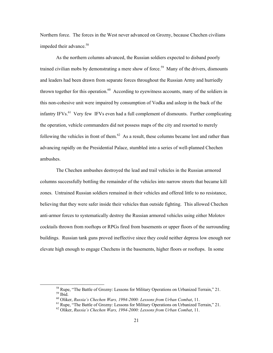Northern force. The forces in the West never advanced on Grozny, because Chechen civilians impeded their advance.<sup>58</sup>

As the northern columns advanced, the Russian soldiers expected to disband poorly trained civilian mobs by demonstrating a mere show of force.<sup>59</sup> Many of the drivers, dismounts and leaders had been drawn from separate forces throughout the Russian Army and hurriedly thrown together for this operation.<sup>60</sup> According to eyewitness accounts, many of the soldiers in this non-cohesive unit were impaired by consumption of Vodka and asleep in the back of the infantry IFVs.<sup>61</sup> Very few IFVs even had a full complement of dismounts. Further complicating the operation, vehicle commanders did not possess maps of the city and resorted to merely following the vehicles in front of them. $^{62}$  As a result, these columns became lost and rather than advancing rapidly on the Presidential Palace, stumbled into a series of well-planned Chechen ambushes.

The Chechen ambushes destroyed the lead and trail vehicles in the Russian armored columns successfully bottling the remainder of the vehicles into narrow streets that became kill zones. Untrained Russian soldiers remained in their vehicles and offered little to no resistance, believing that they were safer inside their vehicles than outside fighting. This allowed Chechen anti-armor forces to systematically destroy the Russian armored vehicles using either Molotov cocktails thrown from rooftops or RPGs fired from basements or upper floors of the surrounding buildings. Russian tank guns proved ineffective since they could neither depress low enough nor elevate high enough to engage Chechens in the basements, higher floors or rooftops. In some

<span id="page-31-1"></span><span id="page-31-0"></span><sup>&</sup>lt;sup>58</sup> Rupe, "The Battle of Grozny: Lessons for Military Operations on Urbanized Terrain," 21.<br><sup>59</sup> Ibid.<br><sup>60</sup> Oliker, *Russia's Chechen Wars, 1994-2000: Lessons from Urban Combat*, 11.<br><sup>61</sup> Rupe, "The Battle of Grozny: Les

<span id="page-31-3"></span><span id="page-31-2"></span>

<span id="page-31-4"></span>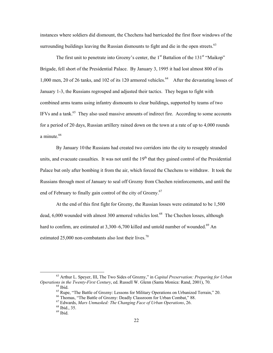instances where soldiers did dismount, the Chechens had barricaded the first floor windows of the surrounding buildings leaving the Russian dismounts to fight and die in the open streets.<sup>[63](#page-32-0)</sup>

The first unit to penetrate into Grozny's center, the  $1<sup>st</sup>$  Battalion of the  $131<sup>st</sup>$  "Maikop" Brigade, fell short of the Presidential Palace. By January 3, 1995 it had lost almost 800 of its 1,000 men, 20 of 26 tanks, and 102 of its 120 armored vehicles.<sup>64</sup> After the devastating losses of January 1-3, the Russians regrouped and adjusted their tactics. They began to fight with combined arms teams using infantry dismounts to clear buildings, supported by teams of two IFVs and a tank.<sup>65</sup> They also used massive amounts of indirect fire. According to some accounts for a period of 20 days, Russian artillery rained down on the town at a rate of up to 4,000 rounds a minute.<sup>66</sup>

By January 10 the Russians had created two corridors into the city to resupply stranded units, and evacuate casualties. It was not until the  $19<sup>th</sup>$  that they gained control of the Presidential Palace but only after bombing it from the air, which forced the Chechens to withdraw. It took the Russians through most of January to seal off Grozny from Chechen reinforcements, and until the end of February to finally gain control of the city of Grozny.<sup>[67](#page-32-4)</sup>

At the end of this first fight for Grozny, the Russian losses were estimated to be 1,500 dead, 6,000 wounded with almost 300 armored vehicles lost.<sup>68</sup> The Chechen losses, although hard to confirm, are estimated at  $3,300-6,700$  killed and untold number of wounded.<sup>69</sup> An estimated 25,000 non-combatants also lost their lives.<sup>70</sup>

<sup>&</sup>lt;sup>63</sup> Arthur L. Speyer, III, The Two Sides of Grozny," in *Capital Preservation: Preparing for Urban Operations in the Twenty-First Century*, ed. Russell W. Glenn (Santa Monica: Rand, 2001), 70.

<span id="page-32-2"></span><span id="page-32-1"></span>

<span id="page-32-0"></span><sup>&</sup>lt;sup>64</sup> Ibid.<br>
<sup>65</sup> Rupe, "The Battle of Grozny: Lessons for Military Operations on Urbanized Terrain," 20.<br>
<sup>66</sup> Thomas, "The Battle of Grozny: Deadly Classroom for Urban Combat," 88.<br>
<sup>67</sup> Edwards, *Mars Unmasked: The Chan* 

<span id="page-32-7"></span><span id="page-32-3"></span>

<span id="page-32-4"></span>

<span id="page-32-5"></span>

<span id="page-32-6"></span>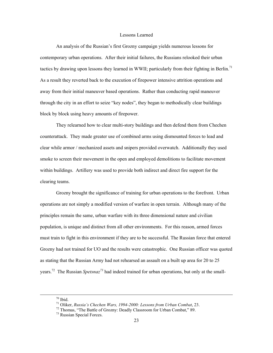#### Lessons Learned

An analysis of the Russian's first Grozny campaign yields numerous lessons for contemporary urban operations. After their initial failures, the Russians relooked their urban tactics by drawing upon lessons they learned in WWII; particularly from their fighting in Berlin.<sup>71</sup> As a result they reverted back to the execution of firepower intensive attrition operations and away from their initial maneuver based operations. Rather than conducting rapid maneuver through the city in an effort to seize "key nodes", they began to methodically clear buildings block by block using heavy amounts of firepower.

They relearned how to clear multi-story buildings and then defend them from Chechen counterattack. They made greater use of combined arms using dismounted forces to lead and clear while armor / mechanized assets and snipers provided overwatch. Additionally they used smoke to screen their movement in the open and employed demolitions to facilitate movement within buildings. Artillery was used to provide both indirect and direct fire support for the clearing teams.

Grozny brought the significance of training for urban operations to the forefront. Urban operations are not simply a modified version of warfare in open terrain. Although many of the principles remain the same, urban warfare with its three dimensional nature and civilian population, is unique and distinct from all other environments. For this reason, armed forces must train to fight in this environment if they are to be successful. The Russian force that entered Grozny had not trained for UO and the results were catastrophic. One Russian officer was quoted as stating that the Russian Army had not rehearsed an assault on a built up area for 20 to 25 years.[72](#page-33-1) The Russian *Spetsnaz[73](#page-33-2)* had indeed trained for urban operations, but only at the small-

<span id="page-33-1"></span><span id="page-33-0"></span>

 <sup>70</sup> Ibid. 71 Oliker, *Russia's Chechen Wars, 1994-2000: Lessons from Urban Combat*, 23. 72 Thomas, "The Battle of Grozny: Deadly Classroom for Urban Combat," 89. 73 Russian Special Forces.

<span id="page-33-2"></span>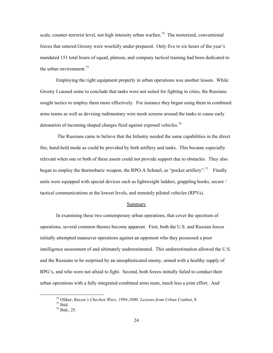scale, counter-terrorist level, not high intensity urban warfare.<sup>74</sup> The motorized, conventional forces that entered Grozny were woefully under-prepared. Only five to six hours of the year's mandated 151 total hours of squad, platoon, and company tactical training had been dedicated to the urban environment.<sup>75</sup>

Employing the right equipment properly in urban operations was another lesson. While Grozny I caused some to conclude that tanks were not suited for fighting in cities, the Russians sought tactics to employ them more effectively. For instance they began using them in combined arms teams as well as devising rudimentary wire mesh screens around the tanks to cause early detonation of incoming shaped charges fired against exposed vehicles.<sup>76</sup>

 The Russians came to believe that the Infantry needed the same capabilities in the direct fire, hand-held mode as could be provided by both artillery and tanks. This became especially relevant when one or both of these assets could not provide support due to obstacles. They also began to employ the thermobaric weapon, the RPO-A Schmel, as "pocket artillery".<sup>77</sup> Finally units were equipped with special devices such as lightweight ladders, grappling hooks, secure / tactical communications at the lowest levels, and remotely piloted vehicles (RPVs).

#### Summary

In examining these two contemporary urban operations, that cover the spectrum of operations, several common themes become apparent. First, both the U.S. and Russian forces initially attempted maneuver operations against an opponent who they possessed a poor intelligence assessment of and ultimately underestimated. This underestimation allowed the U.S. and the Russians to be surprised by an unsophisticated enemy, armed with a healthy supply of RPG's, and who were not afraid to fight. Second, both forces initially failed to conduct their urban operations with a fully integrated combined arms team, much less a joint effort. And

<span id="page-34-0"></span><sup>&</sup>lt;sup>74</sup> Oliker, *Russia's Chechen Wars, 1994-2000: Lessons from Urban Combat*, 8.<br><sup>75</sup> Ibid., 25.<br><sup>76</sup> Ibid., 25.

<span id="page-34-1"></span>

<span id="page-34-3"></span><span id="page-34-2"></span>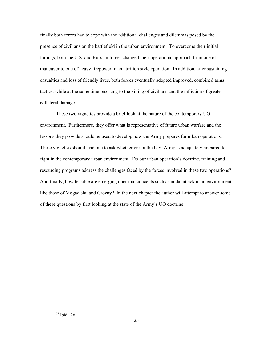finally both forces had to cope with the additional challenges and dilemmas posed by the presence of civilians on the battlefield in the urban environment. To overcome their initial failings, both the U.S. and Russian forces changed their operational approach from one of maneuver to one of heavy firepower in an attrition style operation. In addition, after sustaining casualties and loss of friendly lives, both forces eventually adopted improved, combined arms tactics, while at the same time resorting to the killing of civilians and the infliction of greater collateral damage.

These two vignettes provide a brief look at the nature of the contemporary UO environment. Furthermore, they offer what is representative of future urban warfare and the lessons they provide should be used to develop how the Army prepares for urban operations. These vignettes should lead one to ask whether or not the U.S. Army is adequately prepared to fight in the contemporary urban environment. Do our urban operation's doctrine, training and resourcing programs address the challenges faced by the forces involved in these two operations? And finally, how feasible are emerging doctrinal concepts such as nodal attack in an environment like those of Mogadishu and Grozny? In the next chapter the author will attempt to answer some of these questions by first looking at the state of the Army's UO doctrine.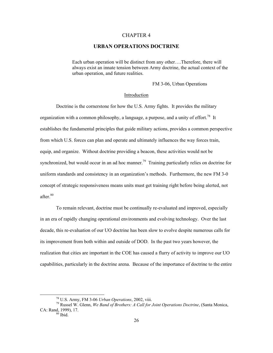### CHAPTER 4

# **URBAN OPERATIONS DOCTRINE**

Each urban operation will be distinct from any other….Therefore, there will always exist an innate tension between Army doctrine, the actual context of the urban operation, and future realities.

FM 3-06, Urban Operations

#### Introduction

Doctrine is the cornerstone for how the U.S. Army fights. It provides the military organization with a common philosophy, a language, a purpose, and a unity of effort.<sup>78</sup> It establishes the fundamental principles that guide military actions, provides a common perspective from which U.S. forces can plan and operate and ultimately influences the way forces train, equip, and organize. Without doctrine providing a beacon, these activities would not be synchronized, but would occur in an ad hoc manner.<sup>79</sup> Training particularly relies on doctrine for uniform standards and consistency in an organization's methods. Furthermore, the new FM 3-0 concept of strategic responsiveness means units must get training right before being alerted, not after.<sup>80</sup>

To remain relevant, doctrine must be continually re-evaluated and improved, especially in an era of rapidly changing operational environments and evolving technology. Over the last decade, this re-evaluation of our UO doctrine has been slow to evolve despite numerous calls for its improvement from both within and outside of DOD. In the past two years however, the realization that cities are important in the COE has caused a flurry of activity to improve our UO capabilities, particularly in the doctrine arena. Because of the importance of doctrine to the entire

<span id="page-36-1"></span><span id="page-36-0"></span>

 <sup>78</sup> U.S. Army, FM 3-06 *Urban Operations*, 2002, viii. 79 Russel W. Glenn, *We Band of Brothers: A Call for Joint Operations Doctrine*, (Santa Monica, CA: Rand, 1999), 17.<br> $\frac{80}{1}$  Ibid.

<span id="page-36-2"></span>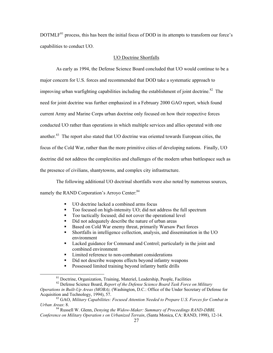DOTMLF<sup>81</sup> process, this has been the initial focus of DOD in its attempts to transform our force's capabilities to conduct UO.

### UO Doctrine Shortfalls

As early as 1994, the Defense Science Board concluded that UO would continue to be a major concern for U.S. forces and recommended that DOD take a systematic approach to improving urban warfighting capabilities including the establishment of joint doctrine.<sup>82</sup> The need for joint doctrine was further emphasized in a February 2000 GAO report, which found current Army and Marine Corps urban doctrine only focused on how their respective forces conducted UO rather than operations in which multiple services and allies operated with one another.<sup>83</sup> The report also stated that UO doctrine was oriented towards European cities, the focus of the Cold War, rather than the more primitive cities of developing nations. Finally, UO doctrine did not address the complexities and challenges of the modern urban battlespace such as the presence of civilians, shantytowns, and complex city infrastructure.

The following additional UO doctrinal shortfalls were also noted by numerous sources, namely the RAND Corporation's Arroyo Center:<sup>84</sup>

- UO doctrine lacked a combined arms focus
- Too focused on high-intensity UO; did not address the full spectrum
- Too tactically focused; did not cover the operational level<br>■ Did not adequately describe the nature of urban areas
- Did not adequately describe the nature of urban areas
- Based on Cold War enemy threat, primarily Warsaw Pact forces
- Shortfalls in intelligence collection, analysis, and dissemination in the UO environment
- Lacked guidance for Command and Control; particularly in the joint and combined environment
- **EXECUTE:** Limited reference to non-combatant considerations
- Did not describe weapons effects beyond infantry weapons
- **Possessed limited training beyond infantry battle drills**

<span id="page-37-2"></span><span id="page-37-1"></span><span id="page-37-0"></span>

<sup>&</sup>lt;sup>81</sup> Doctrine, Organization, Training, Materiel, Leadership, People, Facilities <sup>82</sup> Defense Science Board, *Report of the Defense Science Board Task Force on Military Operations in Built-Up Areas (MOBA),* (Washington, D.C.: Office of the Under Secretary of Defense for Acquisition and Technology, 1994), 57. 83 GAO, *Military Capabilities: Focused Attention Needed to Prepare U.S. Forces for Combat in*

*Urban Areas*: 8.

<span id="page-37-3"></span><sup>84</sup> Russell W. Glenn, *Denying the Widow-Maker: Summary of Proceedings RAND-DBBL Conference on Military Operation s on Urbanized Terrain*, (Santa Monica, CA: RAND, 1998), 12-14.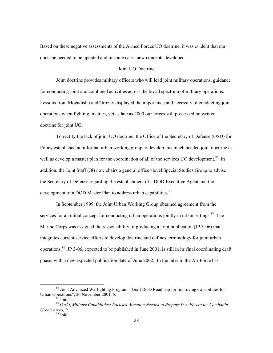Based on these negative assessments of the Armed Forces UO doctrine, it was evident that our doctrine needed to be updated and in some cases new concepts developed.

### Joint UO Doctrine

Joint doctrine provides military officers who will lead joint military operations, guidance for conducting joint and combined activities across the broad spectrum of military operations. Lessons from Mogadishu and Grozny displayed the importance and necessity of conducting joint operations when fighting in cities, yet as late as 2000 our forces still possessed no written doctrine for joint UO.

To rectify the lack of joint UO doctrine, the Office of the Secretary of Defense (OSD) for Policy established an informal urban working group to develop this much needed joint doctrine as well as develop a master plan for the coordination of all of the services UO development.<sup>85</sup> In addition, the Joint Staff (J8) now chairs a general officer-level Special Studies Group to advise the Secretary of Defense regarding the establishment of a DOD Executive Agent and the development of a DOD Master Plan to address urban capabilities.<sup>[86](#page-38-1)</sup>

In September 1999, the Joint Urban Working Group obtained agreement from the services for an initial concept for conducting urban operations jointly in urban settings.<sup>87</sup> The Marine Corps was assigned the responsibility of producing a joint publication (JP 3-06) that integrates current service efforts to develop doctrine and defines terminology for joint urban operations.[88](#page-38-3) JP 3-06, expected to be published in June 2001, is still in its final coordinating draft phase, with a new expected publication date of June 2002. In the interim the Air Force has

<sup>&</sup>lt;sup>85</sup> Joint Advanced Warfighting Program. "Draft DOD Roadmap for Improving Capabilities for Urban Operations", 20 November 2001, 5.

<span id="page-38-3"></span><span id="page-38-2"></span><span id="page-38-1"></span><span id="page-38-0"></span>

<sup>&</sup>lt;sup>36</sup> Ibid, 5.<br><sup>87</sup> GAO, *Military Capabilities: Focused Attention Needed to Prepare U.S. Forces for Combat in Urban Areas*, 9.<br><sup>88</sup> Ibid.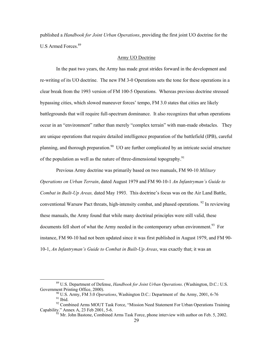published a *Handbook for Joint Urban Operations*, providing the first joint UO doctrine for the U.S Armed Forces.<sup>[89](#page-39-0)</sup>

### Army UO Doctrine

In the past two years, the Army has made great strides forward in the development and re-writing of its UO doctrine. The new FM 3-0 Operations sets the tone for these operations in a clear break from the 1993 version of FM 100-5 Operations. Whereas previous doctrine stressed bypassing cities, which slowed maneuver forces' tempo, FM 3.0 states that cities are likely battlegrounds that will require full-spectrum dominance. It also recognizes that urban operations occur in an "environment" rather than merely "complex terrain" with man-made obstacles. They are unique operations that require detailed intelligence preparation of the battlefield (IPB), careful planning, and thorough preparation.<sup>90</sup> UO are further complicated by an intricate social structure of the population as well as the nature of three-dimensional topography.<sup>[91](#page-39-2)</sup>

Previous Army doctrine was primarily based on two manuals, FM 90-10 *Military Operations on Urban Terrain*, dated August 1979 and FM 90-10-1 *An Infantryman's Guide to Combat in Built-Up Areas,* dated May 1993. This doctrine's focus was on the Air Land Battle, conventional Warsaw Pact threats, high-intensity combat, and phased operations.  $92$  In reviewing these manuals, the Army found that while many doctrinal principles were still valid, these documents fell short of what the Army needed in the contemporary urban environment.<sup>93</sup> For instance, FM 90-10 had not been updated since it was first published in August 1979, and FM 90- 10-1, *An Infantryman's Guide to Combat in Built-Up Areas*, was exactly that; it was an

 <sup>89</sup> U.S. Department of Defense, *Handbook for Joint Urban Operations*. (Washington, D.C.: U.S.

<span id="page-39-2"></span><span id="page-39-1"></span><span id="page-39-0"></span><sup>&</sup>lt;sup>90</sup> U.S. Army, FM 3.0 *Operations*, Washington D.C.: Department of the Army, 2001, 6-76 <sup>91</sup> Ibid. 6-76 <sup>92</sup> Combined Arms MOUT Task Force, "Mission Need Statement For Urban Operations Training

Capability." Annex A, 23 Feb 2001, 5-6.

<span id="page-39-4"></span><span id="page-39-3"></span> $^{53}$  Mr. John Bastone, Combined Arms Task Force, phone interview with author on Feb. 5, 2002.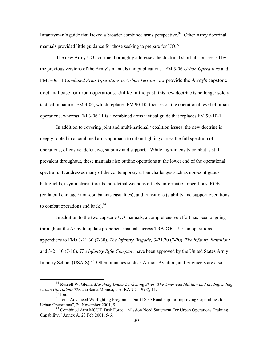Infantryman's guide that lacked a broader combined arms perspective.<sup>94</sup> Other Army doctrinal manuals provided little guidance for those seeking to prepare for  $UO$ .<sup>[95](#page-40-1)</sup>

The new Army UO doctrine thoroughly addresses the doctrinal shortfalls possessed by the previous versions of the Army's manuals and publications. FM 3-06 *Urban Operations* and FM 3-06.11 *Combined Arms Operations in Urban Terrain* now provide the Army's capstone doctrinal base for urban operations. Unlike in the past, this new doctrine is no longer solely tactical in nature. FM 3-06, which replaces FM 90-10, focuses on the operational level of urban operations, whereas FM 3-06.11 is a combined arms tactical guide that replaces FM 90-10-1.

In addition to covering joint and multi-national / coalition issues, the new doctrine is deeply rooted in a combined arms approach to urban fighting across the full spectrum of operations; offensive, defensive, stability and support. While high-intensity combat is still prevalent throughout, these manuals also outline operations at the lower end of the operational spectrum. It addresses many of the contemporary urban challenges such as non-contiguous battlefields, asymmetrical threats, non-lethal weapons effects, information operations, ROE (collateral damage / non-combatants casualties), and transitions (stability and support operations to combat operations and back). $96$ 

In addition to the two capstone UO manuals, a comprehensive effort has been ongoing throughout the Army to update proponent manuals across TRADOC. Urban operations appendices to FMs 3-21.30 (7-30), *The Infantry Brigade;* 3-21.20 (7-20), *The Infantry Battalion;*  and 3-21.10 (7-10), *The Infantry Rifle Company* have been approved by the United States Army Infantry School (USAIS).<sup>97</sup> Other branches such as Armor, Aviation, and Engineers are also

 <sup>94</sup> Russell W. Glenn, *Marching Under Darkening Skies: The American Military and the Impending*

<span id="page-40-3"></span><span id="page-40-2"></span><span id="page-40-1"></span><span id="page-40-0"></span>

<sup>&</sup>lt;sup>95</sup> Ibid.<br><sup>96</sup> Joint Advanced Warfighting Program. "Draft DOD Roadmap for Improving Capabilities for Urban Operations", 20 November 2001, 5.

 $97$  Combined Arm MOUT Task Force, "Mission Need Statement For Urban Operations Training Capability." Annex A, 23 Feb 2001, 5-6.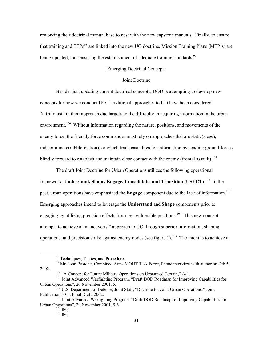reworking their doctrinal manual base to nest with the new capstone manuals. Finally, to ensure that training and  $TTPs^{98}$  are linked into the new UO doctrine, Mission Training Plans (MTP's) are being updated, thus ensuring the establishment of adequate training standards.<sup>99</sup>

# Emerging Doctrinal Concepts

### Joint Doctrine

Besides just updating current doctrinal concepts, DOD is attempting to develop new concepts for how we conduct UO. Traditional approaches to UO have been considered "attritionist" in their approach due largely to the difficulty in acquiring information in the urban environment.<sup>100</sup> Without information regarding the nature, positions, and movements of the enemy force, the friendly force commander must rely on approaches that are static(siege), indiscriminate(rubble-ization), or which trade casualties for information by sending ground-forces blindly forward to establish and maintain close contact with the enemy (frontal assault).<sup>101</sup>

The draft Joint Doctrine for Urban Operations utilizes the following operational framework: Understand, Shape, Engage, Consolidate, and Transition (USECT).<sup>102</sup> In the past, urban operations have emphasized the **Engage** component due to the lack of information.<sup>103</sup> Emerging approaches intend to leverage the **Understand** and **Shape** components prior to engaging by utilizing precision effects from less vulnerable positions.<sup>104</sup> This new concept attempts to achieve a "maneuverist" approach to UO through superior information, shaping operations, and precision strike against enemy nodes (see figure 1).<sup>105</sup> The intent is to achieve a

<span id="page-41-1"></span><span id="page-41-0"></span>

<sup>&</sup>lt;sup>98</sup> Techniques, Tactics, and Procedures<br><sup>99</sup> Mr. John Bastone, Combined Arms MOUT Task Force, Phone interview with author on Feb.5,

<span id="page-41-4"></span><span id="page-41-3"></span><span id="page-41-2"></span>

<sup>&</sup>lt;sup>100</sup> "A Concept for Future Military Operations on Urbanized Terrain," A-1.<br><sup>101</sup> Joint Advanced Warfighting Program. "Draft DOD Roadmap for Improving Capabilities for<br>Urban Operations", 20 November 2001, 5.

<sup>&</sup>lt;sup>102</sup> U.S. Department of Defense, Joint Staff, "Doctrine for Joint Urban Operations." Joint Publication 3-06. Final Draft, 2002.

<sup>&</sup>lt;sup>103</sup> Joint Advanced Warfighting Program. "Draft DOD Roadmap for Improving Capabilities for Urban Operations", 20 November 2001, 5-6.<br>  $\frac{104}{105}$  Ibid.

<span id="page-41-6"></span><span id="page-41-5"></span>

<span id="page-41-7"></span>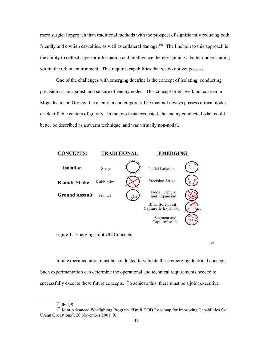more surgical approach than traditional methods with the prospect of significantly reducing both friendly and civilian casualties, as well as collateral damage.<sup>106</sup> The linchpin to this approach is the ability to collect superior information and intelligence thereby gaining a better understanding within the urban environment. This requires capabilities that we do not yet possess.

One of the challenges with emerging doctrine is the concept of isolating, conducting precision strike against, and seizure of enemy nodes. This concept briefs well, but as seen in Mogadishu and Grozny, the enemy in contemporary UO may not always possess critical nodes, or identifiable centers of gravity. In the two instances listed, the enemy conducted what could better be described as a swarm technique, and was virtually non-nodal.



Figure 1. Emerging Joint UO Concepts

107

Joint experimentation must be conducted to validate these emerging doctrinal concepts. Such experimentation can determine the operational and technical requirements needed to successfully execute these future concepts. To achieve this, there must be a joint executive

<span id="page-42-0"></span>

<sup>&</sup>lt;sup>106</sup> Ibid, 9<br><sup>107</sup> Joint Advanced Warfighting Program. "Draft DOD Roadmap for Improving Capabilities for Urban Operations", 20 November 2001, 9.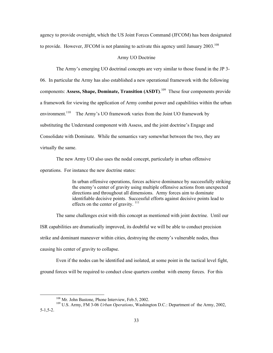agency to provide oversight, which the US Joint Forces Command (JFCOM) has been designated to provide. However, JFCOM is not planning to activate this agency until January  $2003$ <sup>108</sup>

### Army UO Doctrine

The Army's emerging UO doctrinal concepts are very similar to those found in the JP 3- 06. In particular the Army has also established a new operational framework with the following components: **Assess, Shape, Dominate, Transition (ASDT)**. [109](#page-43-1) These four components provide a framework for viewing the application of Army combat power and capabilities within the urban environment.<sup>110</sup> The Army's UO framework varies from the Joint UO framework by substituting the Understand component with Assess, and the joint doctrine's Engage and Consolidate with Dominate. While the semantics vary somewhat between the two, they are virtually the same.

The new Army UO also uses the nodal concept, particularly in urban offensive operations. For instance the new doctrine states:

> In urban offensive operations, forces achieve dominance by successfully striking the enemy's center of gravity using multiple offensive actions from unexpected directions and throughout all dimensions. Army forces aim to dominate identifiable decisive points. Successful efforts against decisive points lead to effects on the center of gravity.<sup>111</sup>

The same challenges exist with this concept as mentioned with joint doctrine. Until our ISR capabilities are dramatically improved, its doubtful we will be able to conduct precision strike and dominant maneuver within cities, destroying the enemy's vulnerable nodes, thus causing his center of gravity to collapse.

Even if the nodes can be identified and isolated, at some point in the tactical level fight, ground forces will be required to conduct close quarters combat with enemy forces. For this

<span id="page-43-1"></span><span id="page-43-0"></span>

<sup>&</sup>lt;sup>108</sup> Mr. John Bastone, Phone Interview, Feb.5, 2002.<br><sup>109</sup> U.S. Army, FM 3-06 *Urban Operations*, Washington D.C.: Department of the Army, 2002, 5-1,5-2.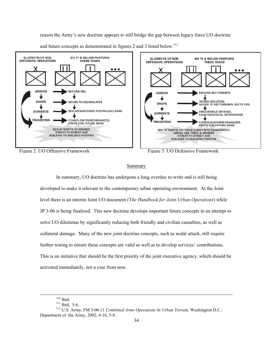reason the Army's new doctrine appears to still bridge the gap between legacy force UO doctrine and future concepts as demonstrated in figures 2 and 3 listed below.<sup>112</sup>



Figure 2. UO Offensive Framework Figure 3. UO Defensive Framework



# Summary

In summary, UO doctrine has undergone a long overdue re-write and is still being developed to make it relevant to the contemporary urban operating environment. At the Joint level there is an interim Joint UO document (T*he Handbook for Joint Urban Operations*) while JP 3-06 is being finalized. This new doctrine develops important future concepts in an attempt to solve UO dilemmas by significantly reducing both friendly and civilian casualties, as well as collateral damage. Many of the new joint doctrine concepts, such as nodal attack, still require further testing to ensure these concepts are valid as well as to develop services' contributions. This is an initiative that should be the first priority of the joint executive agency, which should be activated immediately, not a year from now.

<span id="page-44-0"></span>

 <sup>110</sup> Ibid. 111 Ibid, 5-6. 112 U.S. Army, FM 3-06.11 *Combined Arms Operations In Urban Terrain*, Washington D.C.: Department of the Army, 2002, 4-16, 5-8.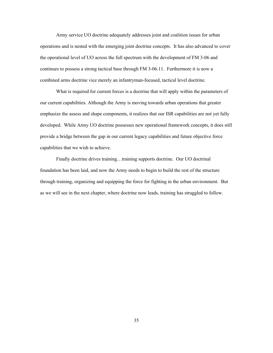Army service UO doctrine adequately addresses joint and coalition issues for urban operations and is nested with the emerging joint doctrine concepts. It has also advanced to cover the operational level of UO across the full spectrum with the development of FM 3-06 and continues to possess a strong tactical base through FM 3-06.11. Furthermore it is now a combined arms doctrine vice merely an infantryman-focused, tactical level doctrine.

What is required for current forces is a doctrine that will apply within the parameters of our current capabilities. Although the Army is moving towards urban operations that greater emphasize the assess and shape components, it realizes that our ISR capabilities are not yet fully developed. While Army UO doctrine possesses new operational framework concepts, it does still provide a bridge between the gap in our current legacy capabilities and future objective force capabilities that we wish to achieve.

Finally doctrine drives training…training supports doctrine. Our UO doctrinal foundation has been laid, and now the Army needs to begin to build the rest of the structure through training, organizing and equipping the force for fighting in the urban environment. But as we will see in the next chapter, where doctrine now leads, training has struggled to follow.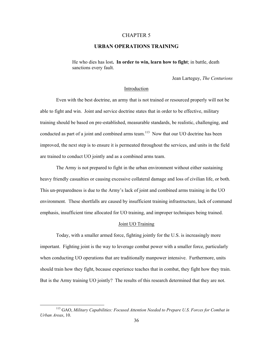### CHAPTER 5

# **URBAN OPERATIONS TRAINING**

He who dies has lost**. In order to win, learn how to fight**; in battle, death sanctions every fault.

Jean Larteguy, *The Centurions*

### Introduction

Even with the best doctrine, an army that is not trained or resourced properly will not be able to fight and win. Joint and service doctrine states that in order to be effective, military training should be based on pre-established, measurable standards, be realistic, challenging, and conducted as part of a joint and combined arms team.<sup>113</sup> Now that our UO doctrine has been improved, the next step is to ensure it is permeated throughout the services, and units in the field are trained to conduct UO jointly and as a combined arms team.

The Army is not prepared to fight in the urban environment without either sustaining heavy friendly casualties or causing excessive collateral damage and loss of civilian life, or both. This un-preparedness is due to the Army's lack of joint and combined arms training in the UO environment. These shortfalls are caused by insufficient training infrastructure, lack of command emphasis, insufficient time allocated for UO training, and improper techniques being trained.

### Joint UO Training

Today, with a smaller armed force, fighting jointly for the U.S. is increasingly more important. Fighting joint is the way to leverage combat power with a smaller force, particularly when conducting UO operations that are traditionally manpower intensive. Furthermore, units should train how they fight, because experience teaches that in combat, they fight how they train. But is the Army training UO jointly? The results of this research determined that they are not.

<span id="page-46-0"></span>1

<sup>113</sup> GAO, *Military Capabilities: Focused Attention Needed to Prepare U.S. Forces for Combat in Urban Areas*, 10.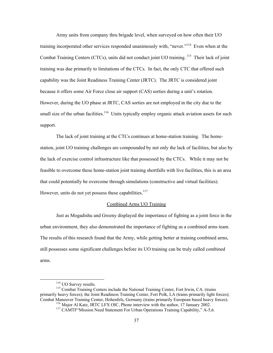Army units from company thru brigade level, when surveyed on how often their UO training incorporated other services responded unanimously with, "never."<sup>114</sup> Even when at the Combat Training Centers (CTCs), units did not conduct joint UO training.<sup>115</sup> Their lack of joint training was due primarily to limitations of the CTCs. In fact, the only CTC that offered such capability was the Joint Readiness Training Center (JRTC). The JRTC is considered joint because it offers some Air Force close air support (CAS) sorties during a unit's rotation. However, during the UO phase at JRTC, CAS sorties are not employed in the city due to the small size of the urban facilities.<sup>116</sup> Units typically employ organic attack aviation assets for such support.

The lack of joint training at the CTCs continues at home-station training. The homestation, joint UO training challenges are compounded by not only the lack of facilities, but also by the lack of exercise control infrastructure like that possessed by the CTCs. While it may not be feasible to overcome these home-station joint training shortfalls with live facilities, this is an area that could potentially be overcome through simulations (constructive and virtual facilities). However, units do not yet possess these capabilities. $117$ 

#### Combined Arms UO Training

Just as Mogadishu and Grozny displayed the importance of fighting as a joint force in the urban environment, they also demonstrated the importance of fighting as a combined arms team. The results of this research found that the Army, while getting better at training combined arms, still possesses some significant challenges before its UO training can be truly called combined arms.

<span id="page-47-1"></span><span id="page-47-0"></span>

<sup>&</sup>lt;sup>114</sup> UO Survey results.<br><sup>115</sup> Combat Training Centers include the National Training Center, Fort Irwin, CA. (trains primarily heavy forces); the Joint Readiness Training Center, Fort Polk, LA (trains primarily light forces); Combat Maneuver Training Center, Hohenfels, Germany (trains primarily European based heavy forces).

<span id="page-47-2"></span><sup>&</sup>lt;sup>116</sup> Major Al Katz, JRTC LFX OIC, Phone interview with the author, 17 January 2002.<br><sup>117</sup> CAMTF "Mission Need Statement For Urban Operations Training Capability," A-5,6.

<span id="page-47-3"></span>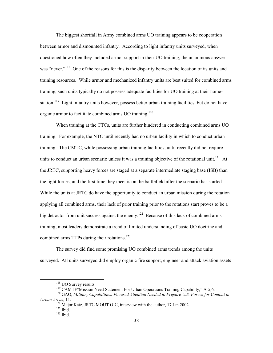The biggest shortfall in Army combined arms UO training appears to be cooperation between armor and dismounted infantry. According to light infantry units surveyed, when questioned how often they included armor support in their UO training, the unanimous answer was "never."<sup>[118](#page-48-0)</sup> One of the reasons for this is the disparity between the location of its units and training resources. While armor and mechanized infantry units are best suited for combined arms training, such units typically do not possess adequate facilities for UO training at their homestation.<sup>119</sup> Light infantry units however, possess better urban training facilities, but do not have organic armor to facilitate combined arms UO training.<sup>120</sup>

When training at the CTCs, units are further hindered in conducting combined arms UO training. For example, the NTC until recently had no urban facility in which to conduct urban training. The CMTC, while possessing urban training facilities, until recently did not require units to conduct an urban scenario unless it was a training objective of the rotational unit.<sup>121</sup> At the JRTC, supporting heavy forces are staged at a separate intermediate staging base (ISB) than the light forces, and the first time they meet is on the battlefield after the scenario has started. While the units at JRTC do have the opportunity to conduct an urban mission during the rotation applying all combined arms, their lack of prior training prior to the rotations start proves to be a big detractor from unit success against the enemy.<sup>122</sup> Because of this lack of combined arms training, most leaders demonstrate a trend of limited understanding of basic UO doctrine and combined arms TTPs during their rotations.<sup>123</sup>

The survey did find some promising UO combined arms trends among the units surveyed. All units surveyed did employ organic fire support, engineer and attack aviation assets

<span id="page-48-0"></span>

<span id="page-48-2"></span><span id="page-48-1"></span>

<sup>&</sup>lt;sup>118</sup> UO Survey results<br><sup>119</sup> CAMTF "Mission Need Statement For Urban Operations Training Capability," A-5,6.<br><sup>120</sup> GAO, *Military Capabilities: Focused Attention Needed to Prepare U.S. Forces for Combat in Urban Areas*, 11.<br><sup>121</sup> Major Katz, JRTC MOUT OIC, interview with the author, 17 Jan 2002.<br><sup>122</sup> Ibid. <sup>123</sup> Ibid.

<span id="page-48-3"></span>

<span id="page-48-4"></span>

<span id="page-48-5"></span>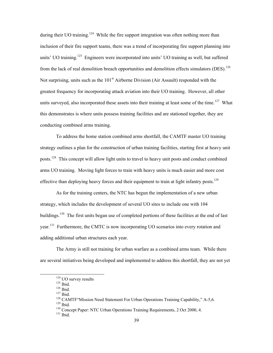during their UO training.<sup>124</sup> While the fire support integration was often nothing more than inclusion of their fire support teams, there was a trend of incorporating fire support planning into units' UO training.<sup>125</sup> Engineers were incorporated into units' UO training as well, but suffered from the lack of real demolition breach opportunities and demolition effects simulators (DES).<sup>126</sup> Not surprising, units such as the 101<sup>st</sup> Airborne Division (Air Assault) responded with the greatest frequency for incorporating attack aviation into their UO training. However, all other units surveyed, also incorporated these assets into their training at least some of the time.<sup>127</sup> What this demonstrates is where units possess training facilities and are stationed together, they are conducting combined arms training.

To address the home station combined arms shortfall, the CAMTF master UO training strategy outlines a plan for the construction of urban training facilities, starting first at heavy unit posts.<sup>128</sup> This concept will allow light units to travel to heavy unit posts and conduct combined arms UO training. Moving light forces to train with heavy units is much easier and more cost effective than deploying heavy forces and their equipment to train at light infantry posts.<sup>129</sup>

As for the training centers, the NTC has begun the implementation of a new urban strategy, which includes the development of several UO sites to include one with 104 buildings.<sup>130</sup> The first units began use of completed portions of these facilities at the end of last year.<sup>131</sup> Furthermore, the CMTC is now incorporating UO scenarios into every rotation and adding additional urban structures each year.

The Army is still not training for urban warfare as a combined arms team. While there are several initiatives being developed and implemented to address this shortfall, they are not yet

<span id="page-49-7"></span>

<span id="page-49-1"></span>

<span id="page-49-2"></span>

<span id="page-49-4"></span><span id="page-49-3"></span>

<span id="page-49-0"></span><sup>&</sup>lt;sup>124</sup> UO survey results<br><sup>125</sup> Ibid.<br><sup>126</sup> Ibid.<br><sup>127</sup> Ibid.<br><sup>128</sup> CAMTF<sup>\*</sup>Mission Need Statement For Urban Operations Training Capability," A-5,6.<br><sup>129</sup> Ibid.<br><sup>130</sup> Concept Paper: NTC Urban Operations Training Requirement

<span id="page-49-5"></span>

<span id="page-49-6"></span>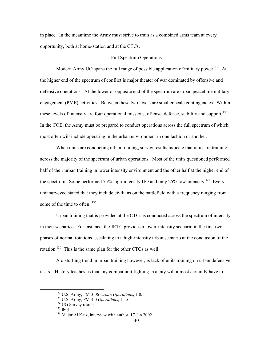in place. In the meantime the Army must strive to train as a combined arms team at every opportunity, both at home-station and at the CTCs.

#### Full Spectrum Operations

Modern Army UO spans the full range of possible application of military power.<sup>132</sup> At the higher end of the spectrum of conflict is major theater of war dominated by offensive and defensive operations. At the lower or opposite end of the spectrum are urban peacetime military engagement (PME) activities. Between these two levels are smaller scale contingencies. Within these levels of intensity are four operational missions, offense, defense, stability and support.<sup>133</sup> In the COE, the Army must be prepared to conduct operations across the full spectrum of which most often will include operating in the urban environment in one fashion or another.

When units are conducting urban training, survey results indicate that units are training across the majority of the spectrum of urban operations. Most of the units questioned performed half of their urban training in lower intensity environment and the other half at the higher end of the spectrum. Some performed 75% high-intensity UO and only 25% low-intensity.<sup>134</sup> Every unit surveyed stated that they include civilians on the battlefield with a frequency ranging from some of the time to often. <sup>135</sup>

Urban training that is provided at the CTCs is conducted across the spectrum of intensity in their scenarios. For instance, the JRTC provides a lower-intensity scenario in the first two phases of normal rotations, escalating to a high-intensity urban scenario at the conclusion of the rotation.<sup>136</sup> This is the same plan for the other CTCs as well.

A disturbing trend in urban training however, is lack of units training on urban defensive tasks. History teaches us that any combat unit fighting in a city will almost certainly have to

<span id="page-50-3"></span>

<span id="page-50-0"></span><sup>&</sup>lt;sup>132</sup> U.S. Army, FM 3-06 *Urban Operations*, 1-8.<br><sup>133</sup> U.S. Army, FM 3-0 *Operations*, 1-15<br><sup>134</sup> UO Survey results <sup>135</sup> Ibid.

<span id="page-50-1"></span>

<span id="page-50-2"></span>

<span id="page-50-4"></span><sup>&</sup>lt;sup>136</sup> Major Al Katz, interview with author, 17 Jan 2002.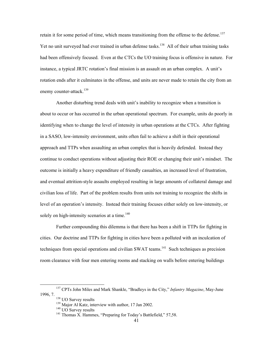retain it for some period of time, which means transitioning from the offense to the defense.<sup>137</sup> Yet no unit surveyed had ever trained in urban defense tasks.<sup>138</sup> All of their urban training tasks had been offensively focused. Even at the CTCs the UO training focus is offensive in nature. For instance, a typical JRTC rotation's final mission is an assault on an urban complex. A unit's rotation ends after it culminates in the offense, and units are never made to retain the city from an enemy counter-attack. $139$ 

Another disturbing trend deals with unit's inability to recognize when a transition is about to occur or has occurred in the urban operational spectrum. For example, units do poorly in identifying when to change the level of intensity in urban operations at the CTCs. After fighting in a SASO, low-intensity environment, units often fail to achieve a shift in their operational approach and TTPs when assaulting an urban complex that is heavily defended. Instead they continue to conduct operations without adjusting their ROE or changing their unit's mindset. The outcome is initially a heavy expenditure of friendly casualties, an increased level of frustration, and eventual attrition-style assaults employed resulting in large amounts of collateral damage and civilian loss of life. Part of the problem results from units not training to recognize the shifts in level of an operation's intensity. Instead their training focuses either solely on low-intensity, or solely on high-intensity scenarios at a time.<sup>140</sup>

Further compounding this dilemma is that there has been a shift in TTPs for fighting in cities. Our doctrine and TTPs for fighting in cities have been a polluted with an inculcation of techniques from special operations and civilian SWAT teams.<sup>141</sup> Such techniques as precision room clearance with four men entering rooms and stacking on walls before entering buildings

 <sup>137</sup> CPTs John Miles and Mark Shankle, "Bradleys in the City," *Infantry Magazine*, May-June 1996, 7.<br> $^{138}$  UO Survey results

<span id="page-51-1"></span><span id="page-51-0"></span>

<span id="page-51-2"></span> $139$  Major Al Katz, interview with author, 17 Jan 2002.<br><sup>140</sup> UO Survey results

<span id="page-51-3"></span>

<span id="page-51-4"></span><sup>&</sup>lt;sup>141</sup> Thomas X. Hammes, "Preparing for Today's Battlefield," 57,58.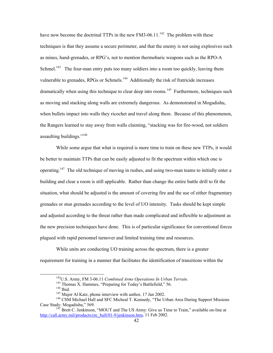have now become the doctrinal TTPs in the new FM3-06.11.<sup>142</sup> The problem with these techniques is that they assume a secure perimeter, and that the enemy is not using explosives such as mines, hand-grenades, or RPG's, not to mention thermobaric weapons such as the RPO-A Schmel.<sup>143</sup> The four-man entry puts too many soldiers into a room too quickly, leaving them vulnerable to grenades, RPGs or Schmels.<sup>144</sup> Additionally the risk of fratricide increases dramatically when using this technique to clear deep into rooms.<sup>145</sup> Furthermore, techniques such as moving and stacking along walls are extremely dangerous. As demonstrated in Mogadishu, when bullets impact into walls they ricochet and travel along them. Because of this phenomenon, the Rangers learned to stay away from walls claiming, "stacking was for fire-wood, not soldiers assaulting buildings.["146](#page-52-4) 

While some argue that what is required is more time to train on these new TTPs, it would be better to maintain TTPs that can be easily adjusted to fit the spectrum within which one is operating.<sup>147</sup> The old technique of moving in rushes, and using two-man teams to initially enter a building and clear a room is still applicable. Rather than change the entire battle drill to fit the situation, what should be adjusted is the amount of covering fire and the use of either fragmentary grenades or stun grenades according to the level of UO intensity. Tasks should be kept simple and adjusted according to the threat rather than made complicated and inflexible to adjustment as the new precision techniques have done. This is of particular significance for conventional forces plagued with rapid personnel turnover and limited training time and resources.

While units are conducting UO training across the spectrum, there is a greater requirement for training in a manner that facilitates the identification of transitions within the

<span id="page-52-0"></span>

<span id="page-52-1"></span>

<span id="page-52-2"></span>

<span id="page-52-5"></span><span id="page-52-4"></span><span id="page-52-3"></span>

<sup>&</sup>lt;sup>142</sup>U.S. Army, FM 3-06.11 *Combined Arms Operations In Urban Terrain*.<br><sup>143</sup> Thomas X. Hammes, "Preparing for Today's Battlefield," 56.<br><sup>144</sup> Ibid.<br><sup>145</sup> Major Al Katz, phone interview with author, 17 Jan 2002.<br><sup>146</sup> CSM Case Study: Mogadishu," 569.

 $147$  Brett C. Jenkinson, "MOUT and The US Army: Give us Time to Train," available on-line at [http://call.army.mil/products/ctc\\_bull/01-9/jenkinson.htm](http://call.army.mil/products/ctc_bull/01-9/jenkinson.htm), 11 Feb 2002.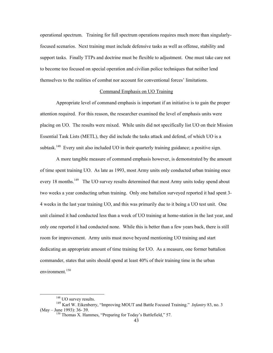operational spectrum. Training for full spectrum operations requires much more than singularlyfocused scenarios. Next training must include defensive tasks as well as offense, stability and support tasks. Finally TTPs and doctrine must be flexible to adjustment. One must take care not to become too focused on special operation and civilian police techniques that neither lend themselves to the realities of combat nor account for conventional forces' limitations.

### Command Emphasis on UO Training

Appropriate level of command emphasis is important if an initiative is to gain the proper attention required. For this reason, the researcher examined the level of emphasis units were placing on UO. The results were mixed. While units did not specifically list UO on their Mission Essential Task Lists (METL), they did include the tasks attack and defend, of which UO is a subtask.<sup>148</sup> Every unit also included UO in their quarterly training guidance; a positive sign.

A more tangible measure of command emphasis however, is demonstrated by the amount of time spent training UO. As late as 1993, most Army units only conducted urban training once every 18 months.<sup>149</sup> The UO survey results determined that most Army units today spend about two weeks a year conducting urban training. Only one battalion surveyed reported it had spent 3- 4 weeks in the last year training UO, and this was primarily due to it being a UO test unit. One unit claimed it had conducted less than a week of UO training at home-station in the last year, and only one reported it had conducted none. While this is better than a few years back, there is still room for improvement. Army units must move beyond mentioning UO training and start dedicating an appropriate amount of time training for UO. As a measure, one former battalion commander, states that units should spend at least 40% of their training time in the urban environment.<sup>150</sup>

<span id="page-53-1"></span><span id="page-53-0"></span><sup>&</sup>lt;sup>148</sup> UO survey results.

<sup>149</sup> Karl W. Eikenberry, "Improving MOUT and Battle Focused Training." *Infantry* 83, no. 3 (May – June 1993): 36- 39.

<span id="page-53-2"></span><sup>&</sup>lt;sup>150</sup> Thomas X. Hammes, "Preparing for Today's Battlefield," 57.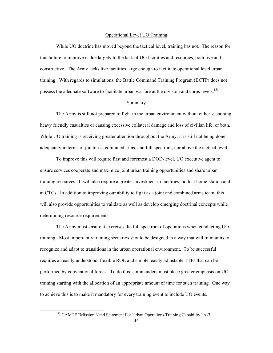#### Operational Level UO Training

While UO doctrine has moved beyond the tactical level, training has not. The reason for this failure to improve is due largely to the lack of UO facilities and resources, both live and constructive. The Army lacks live facilities large enough to facilitate operational level urban training. With regards to simulations, the Battle Command Training Program (BCTP) does not possess the adequate software to facilitate urban warfare at the division and corps levels.<sup>[151](#page-54-0)</sup>

# Summary

The Army is still not prepared to fight in the urban environment without either sustaining heavy friendly casualties or causing excessive collateral damage and loss of civilian life, or both. While UO training is receiving greater attention throughout the Army, it is still not being done adequately in terms of jointness, combined arms, and full spectrum, nor above the tactical level.

To improve this will require first and foremost a DOD-level, UO executive agent to ensure services cooperate and maximize joint urban training opportunities and share urban training resources. It will also require a greater investment in facilities, both at home-station and at CTCs. In addition to improving our ability to fight as a joint and combined arms team, this will also provide opportunities to validate as well as develop emerging doctrinal concepts while determining resource requirements.

The Army must ensure it exercises the full spectrum of operations when conducting UO training. Most importantly training scenarios should be designed in a way that will train units to recognize and adapt to transitions in the urban operational environment. To be successful requires an easily understood, flexible ROE and simple, easily adjustable TTPs that can be performed by conventional forces. To do this, commanders must place greater emphasis on UO training starting with the allocation of an appropriate amount of time for such training. One way to achieve this is to make it mandatory for every training event to include UO events.

-

<span id="page-54-0"></span><sup>&</sup>lt;sup>151</sup> CAMTF "Mission Need Statement For Urban Operations Training Capability,"A-7.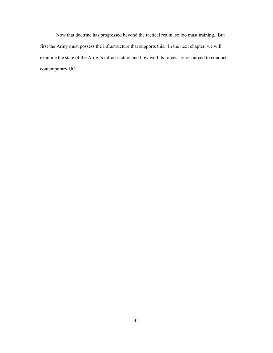Now that doctrine has progressed beyond the tactical realm, so too must training. But first the Army must possess the infrastructure that supports this. In the next chapter, we will examine the state of the Army's infrastructure and how well its forces are resourced to conduct contemporary UO.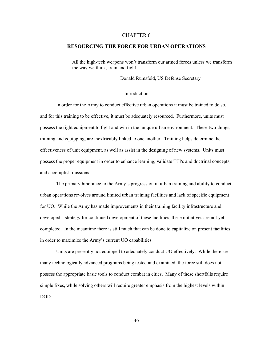### CHAPTER 6

# **RESOURCING THE FORCE FOR URBAN OPERATIONS**

All the high-tech weapons won't transform our armed forces unless we transform the way we think, train and fight.

Donald Rumsfeld, US Defense Secretary

#### Introduction

In order for the Army to conduct effective urban operations it must be trained to do so, and for this training to be effective, it must be adequately resourced. Furthermore, units must possess the right equipment to fight and win in the unique urban environment. These two things, training and equipping, are inextricably linked to one another. Training helps determine the effectiveness of unit equipment, as well as assist in the designing of new systems. Units must possess the proper equipment in order to enhance learning, validate TTPs and doctrinal concepts, and accomplish missions.

The primary hindrance to the Army's progression in urban training and ability to conduct urban operations revolves around limited urban training facilities and lack of specific equipment for UO. While the Army has made improvements in their training facility infrastructure and developed a strategy for continued development of these facilities, these initiatives are not yet completed. In the meantime there is still much that can be done to capitalize on present facilities in order to maximize the Army's current UO capabilities.

Units are presently not equipped to adequately conduct UO effectively. While there are many technologically advanced programs being tested and examined, the force still does not possess the appropriate basic tools to conduct combat in cities. Many of these shortfalls require simple fixes, while solving others will require greater emphasis from the highest levels within DOD.

46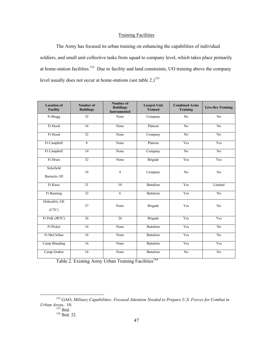# Training Facilities

The Army has focused its urban training on enhancing the capabilities of individual soldiers, and small unit collective tasks from squad to company level, which takes place primarily at home-station facilities.<sup>152</sup> Due to facility and land constraints, UO training above the company level usually does not occur at home-stations (see table  $2.1<sup>153</sup>$  $2.1<sup>153</sup>$  $2.1<sup>153</sup>$ )

| <b>Location of</b><br><b>Facility</b> | Number of<br><b>Buildings</b> | <b>Number of</b><br><b>Buildings</b><br><b>Instrumented</b> | <b>Largest Unit</b><br><b>Trained</b> | <b>Combined Arms</b><br><b>Training</b> | <b>Live-fire Training</b> |
|---------------------------------------|-------------------------------|-------------------------------------------------------------|---------------------------------------|-----------------------------------------|---------------------------|
| Ft Bragg                              | 32                            | None                                                        | Company                               | N <sub>o</sub>                          | N <sub>o</sub>            |
| Ft Hood                               | 16                            | None                                                        | Platoon                               | $\overline{No}$                         | $\overline{No}$           |
| Ft Hood                               | $\overline{32}$               | None                                                        | Company                               | N <sub>o</sub>                          | No                        |
| Ft Campbell                           | 8                             | None                                                        | Platoon                               | Yes                                     | Yes                       |
| Ft Campbell                           | 14                            | None                                                        | Company                               | $\overline{No}$                         | $\overline{No}$           |
| Ft Drum                               | $\overline{32}$               | None                                                        | <b>Brigade</b>                        | Yes                                     | Yes                       |
| Schofield<br>Barracks, HI             | 16                            | $\overline{4}$                                              | Company                               | No                                      | No                        |
| Ft Knox                               | 21                            | 10                                                          | Battalion                             | Yes                                     | Limited                   |
| Ft Benning                            | 32                            | 6                                                           | <b>Battalion</b>                      | Yes                                     | No                        |
| Hohenfels, GE<br>(CTC)                | 37                            | None                                                        | <b>Brigade</b>                        | Yes                                     | N <sub>0</sub>            |
| Ft Polk (JRTC)                        | 26                            | 26                                                          | Brigade                               | Yes                                     | Yes                       |
| <b>Ft Picket</b>                      | 16                            | None                                                        | <b>Battalion</b>                      | Yes                                     | N <sub>o</sub>            |
| Ft McClellan                          | 16                            | None                                                        | <b>Battalion</b>                      | Yes                                     | No                        |
| Camp Blanding                         | 16                            | None                                                        | <b>Battalion</b>                      | Yes                                     | Yes                       |
| Camp Gruber                           | 16                            | None                                                        | <b>Battalion</b>                      | $\overline{No}$                         | $\overline{No}$           |

Table 2. Existing Army Urban Training Facilities<sup>[154](#page-57-2)</sup>

 <sup>152</sup> GAO, *Military Capabilities: Focused Attention Needed to Prepare U.S. Forces for Combat in Urban Areas*, 10.<br><sup>153</sup> Ibid.<br><sup>154</sup> Ibid. 32.

<span id="page-57-0"></span>

<span id="page-57-2"></span><span id="page-57-1"></span>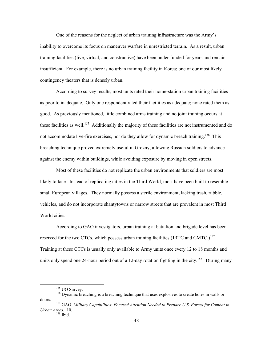One of the reasons for the neglect of urban training infrastructure was the Army's inability to overcome its focus on maneuver warfare in unrestricted terrain. As a result, urban training facilities (live, virtual, and constructive) have been under-funded for years and remain insufficient. For example, there is no urban training facility in Korea; one of our most likely contingency theaters that is densely urban.

According to survey results, most units rated their home-station urban training facilities as poor to inadequate. Only one respondent rated their facilities as adequate; none rated them as good. As previously mentioned, little combined arms training and no joint training occurs at these facilities as well.<sup>155</sup> Additionally the majority of these facilities are not instrumented and do not accommodate live-fire exercises, nor do they allow for dynamic breach training.<sup>156</sup> This breaching technique proved extremely useful in Grozny, allowing Russian soldiers to advance against the enemy within buildings, while avoiding exposure by moving in open streets.

Most of these facilities do not replicate the urban environments that soldiers are most likely to face. Instead of replicating cities in the Third World, most have been built to resemble small European villages. They normally possess a sterile environment, lacking trash, rubble, vehicles, and do not incorporate shantytowns or narrow streets that are prevalent in most Third World cities.

According to GAO investigators, urban training at battalion and brigade level has been reserved for the two CTCs, which possess urban training facilities (JRTC and CMTC.)<sup>157</sup> Training at these CTCs is usually only available to Army units once every 12 to 18 months and units only spend one 24-hour period out of a 12-day rotation fighting in the city.<sup>158</sup> During many

<span id="page-58-2"></span><span id="page-58-1"></span><span id="page-58-0"></span>

<sup>&</sup>lt;sup>155</sup> UO Survey.<br><sup>156</sup> Dynamic breaching is a breaching technique that uses explosives to create holes in walls or doors. 157 GAO, *Military Capabilities: Focused Attention Needed to Prepare U.S. Forces for Combat in*

*Urban Areas*, 10.<br><sup>158</sup> Ibid.

<span id="page-58-3"></span>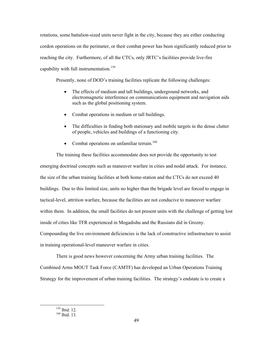rotations, some battalion-sized units never fight in the city, because they are either conducting cordon operations on the perimeter, or their combat power has been significantly reduced prior to reaching the city. Furthermore, of all the CTCs, only JRTC's facilities provide live-fire capability with full instrumentation.<sup>159</sup>

Presently, none of DOD's training facilities replicate the following challenges:

- The effects of medium and tall buildings, underground networks, and electromagnetic interference on communications equipment and navigation aids such as the global positioning system.
- Combat operations in medium or tall buildings.
- The difficulties in finding both stationary and mobile targets in the dense clutter of people, vehicles and buildings of a functioning city.
- Combat operations on unfamiliar terrain.<sup>[160](#page-59-1)</sup>

The training these facilities accommodate does not provide the opportunity to test emerging doctrinal concepts such as maneuver warfare in cities and nodal attack. For instance, the size of the urban training facilities at both home-station and the CTCs do not exceed 40 buildings. Due to this limited size, units no higher than the brigade level are forced to engage in tactical-level, attrition warfare, because the facilities are not conducive to maneuver warfare within them. In addition, the small facilities do not present units with the challenge of getting lost inside of cities like TFR experienced in Mogadishu and the Russians did in Grozny. Compounding the live environment deficiencies is the lack of constructive infrastructure to assist

in training operational-level maneuver warfare in cities.

There is good news however concerning the Army urban training facilities. The Combined Arms MOUT Task Force (CAMTF) has developed an Urban Operations Training Strategy for the improvement of urban training facilities. The strategy's endstate is to create a

<span id="page-59-0"></span> $\frac{159}{160}$  Ibid. 12.

<span id="page-59-1"></span>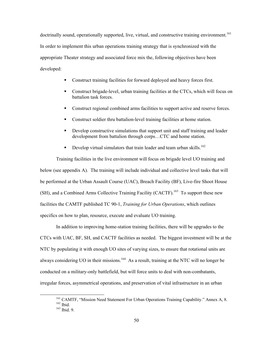doctrinally sound, operationally supported, live, virtual, and constructive training environment.<sup>161</sup> In order to implement this urban operations training strategy that is synchronized with the appropriate Theater strategy and associated force mix the, following objectives have been developed:

- Construct training facilities for forward deployed and heavy forces first.
- Construct brigade-level, urban training facilities at the CTCs, which will focus on battalion task forces.
- Construct regional combined arms facilities to support active and reserve forces.
- Construct soldier thru battalion-level training facilities at home station.
- Develop constructive simulations that support unit and staff training and leader development from battalion through corps…CTC and home station.
- Develop virtual simulators that train leader and team urban skills.<sup>[162](#page-60-1)</sup>

Training facilities in the live environment will focus on brigade level UO training and below (see appendix A). The training will include individual and collective level tasks that will be performed at the Urban Assault Course (UAC), Breach Facility (BF), Live-fire Shoot House (SH), and a Combined Arms Collective Training Facility (CACTF).<sup>163</sup> To support these new facilities the CAMTF published TC 90-1, *Training for Urban Operations*, which outlines specifics on how to plan, resource, execute and evaluate UO training.

In addition to improving home-station training facilities, there will be upgrades to the CTCs with UAC, BF, SH, and CACTF facilities as needed. The biggest investment will be at the NTC by populating it with enough UO sites of varying sizes, to ensure that rotational units are always considering UO in their missions.<sup>164</sup> As a result, training at the NTC will no longer be conducted on a military-only battlefield, but will force units to deal with non-combatants, irregular forces, asymmetrical operations, and preservation of vital infrastructure in an urban

<span id="page-60-3"></span><span id="page-60-0"></span><sup>&</sup>lt;sup>161</sup> CAMTF, "Mission Need Statement For Urban Operations Training Capability." Annex A, 8.<br><sup>162</sup> Ibid. 9.

<span id="page-60-2"></span><span id="page-60-1"></span>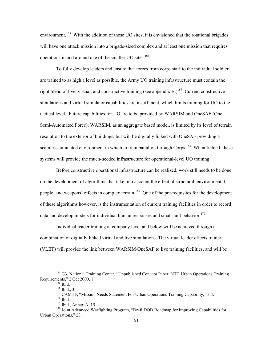environment.<sup>165</sup> With the addition of these UO sites, it is envisioned that the rotational brigades will have one attack mission into a brigade-sized complex and at least one mission that requires operations in and around one of the smaller UO sites.<sup>166</sup>

To fully develop leaders and ensure that forces from corps staff to the individual soldier are trained to as high a level as possible, the Army UO training infrastructure must contain the right blend of live, virtual, and constructive training (see appendix B.)<sup>167</sup> Current constructive simulations and virtual simulator capabilities are insufficient, which limits training for UO to the tactical level. Future capabilities for UO are to be provided by WARSIM and OneSAF (One Semi-Automated Force). WARSIM, as an aggregate based model, is limited by its level of terrain resolution to the exterior of buildings, but will be digitally linked with OneSAF providing a seamless simulated environment in which to train battalion through Corps.<sup>168</sup> When fielded, these systems will provide the much-needed infrastructure for operational-level UO training.

Before constructive operational infrastructure can be realized, work still needs to be done on the development of algorithms that take into account the effect of structural, environmental, people, and weapons' effects in complex terrain.<sup>169</sup> One of the pre-requisites for the development of these algorithms however, is the instrumentation of current training facilities in order to record data and develop models for individual human responses and small-unit behavior.<sup>170</sup>

Individual leader training at company level and below will be achieved through a combination of digitally linked virtual and live simulations. The virtual leader effects trainer (VLET) will provide the link between WARSIM/OneSAF to live training facilities, and will be

 <sup>164</sup> G3, National Training Center, "Unpublished Concept Paper: NTC Urban Operations Training Requirements," 2 Oct 2000, 1.<br>
<sup>165</sup> Ibid., 3.<br>
<sup>166</sup> Ibid., 3.<br>
<sup>167</sup> CAMTF, "Mission Needs Statement For Urban Operations Training Capability," 3,4.<br>
<sup>168</sup> Ibid., Annex A, 15.

<span id="page-61-0"></span>

<span id="page-61-1"></span>

<span id="page-61-3"></span><span id="page-61-2"></span>

<span id="page-61-5"></span><span id="page-61-4"></span>

<sup>&</sup>lt;sup>170</sup> Joint Advanced Warfighting Program, "Draft DOD Roadmap for Improving Capabilities for Urban Operations," 23.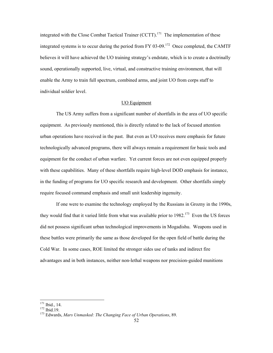integrated with the Close Combat Tactical Trainer  $(CCTT)$ .<sup>171</sup> The implementation of these integrated systems is to occur during the period from FY 03-09.<sup>172</sup> Once completed, the CAMTF believes it will have achieved the UO training strategy's endstate, which is to create a doctrinally sound, operationally supported, live, virtual, and constructive training environment, that will enable the Army to train full spectrum, combined arms, and joint UO from corps staff to individual soldier level.

# UO Equipment

The US Army suffers from a significant number of shortfalls in the area of UO specific equipment. As previously mentioned, this is directly related to the lack of focused attention urban operations have received in the past. But even as UO receives more emphasis for future technologically advanced programs, there will always remain a requirement for basic tools and equipment for the conduct of urban warfare. Yet current forces are not even equipped properly with these capabilities. Many of these shortfalls require high-level DOD emphasis for instance, in the funding of programs for UO specific research and development. Other shortfalls simply require focused command emphasis and small unit leadership ingenuity.

If one were to examine the technology employed by the Russians in Grozny in the 1990s, they would find that it varied little from what was available prior to  $1982$ <sup>173</sup>. Even the US forces did not possess significant urban technological improvements in Mogadishu. Weapons used in these battles were primarily the same as those developed for the open field of battle during the Cold War. In some cases, ROE limited the stronger sides use of tanks and indirect fire advantages and in both instances, neither non-lethal weapons nor precision-guided munitions

<span id="page-62-0"></span><sup>&</sup>lt;sup>171</sup> Ibid., 14.<br><sup>172</sup> Ibid.19.

<span id="page-62-1"></span>

<span id="page-62-2"></span><sup>173</sup> Edwards, *Mars Unmasked: The Changing Face of Urban Operations*, 89.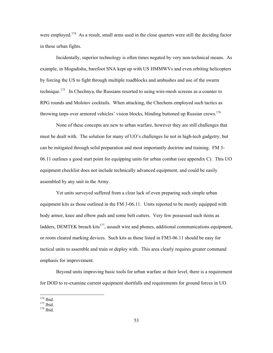were employed.<sup>174</sup> As a result, small arms used in the close quarters were still the deciding factor in these urban fights.

Incidentally, superior technology is often times negated by very non-technical means. As example, in Mogadishu, barefoot SNA kept up with US HMMWVs and even orbiting helicopters by forcing the US to fight through multiple roadblocks and ambushes and use of the swarm technique.<sup>175</sup> In Chechnya, the Russians resorted to using wire-mesh screens as a counter to RPG rounds and Molotov cocktails. When attacking, the Chechens employed such tactics as throwing tarps over armored vehicles' vision blocks, blinding buttoned up Russian crews.<sup>176</sup>

None of these concepts are new to urban warfare, however they are still challenges that must be dealt with. The solution for many of UO's challenges lie not in high-tech gadgetry, but can be mitigated through solid preparation and most importantly doctrine and training. FM 3- 06.11 outlines a good start point for equipping units for urban combat (see appendix C). This UO equipment checklist does not include technically advanced equipment, and could be easily assembled by any unit in the Army.

Yet units surveyed suffered from a clear lack of even preparing such simple urban equipment kits as those outlined in the FM 3-06.11. Units reported to be mostly equipped with body armor, knee and elbow pads and some bolt cutters. Very few possessed such items as ladders, DEMTEK breach kits<sup>177</sup>, assault wire and phones, additional communications equipment, or room cleared marking devices. Such kits as those listed in FM3-06.11 should be easy for tactical units to assemble and train or deploy with. This area clearly requires greater command emphasis for improvement.

<span id="page-63-3"></span>Beyond units improving basic tools for urban warfare at their level, there is a requirement for DOD to re-examine current equipment shortfalls and requirements for ground forces in UO.

<span id="page-63-0"></span>

<span id="page-63-2"></span><span id="page-63-1"></span>

 $^{174}_{175}$  Ibid.<br> $^{175}_{176}$  Ibid.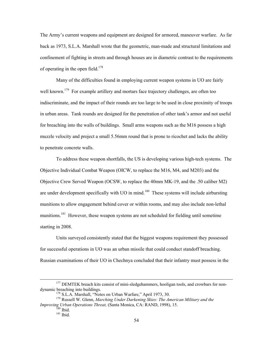The Army's current weapons and equipment are designed for armored, maneuver warfare. As far back as 1973, S.L.A. Marshall wrote that the geometric, man-made and structural limitations and confinement of fighting in streets and through houses are in diametric contrast to the requirements of operating in the open field.<sup>[178](#page-64-0)</sup>

Many of the difficulties found in employing current weapon systems in UO are fairly well known.<sup>179</sup> For example artillery and mortars face trajectory challenges, are often too indiscriminate, and the impact of their rounds are too large to be used in close proximity of troops in urban areas. Tank rounds are designed for the penetration of other tank's armor and not useful for breaching into the walls of buildings. Small arms weapons such as the M16 possess a high muzzle velocity and project a small 5.56mm round that is prone to ricochet and lacks the ability to penetrate concrete walls.

To address these weapon shortfalls, the US is developing various high-tech systems. The Objective Individual Combat Weapon (OICW, to replace the M16, M4, and M203) and the Objective Crew Served Weapon (OCSW, to replace the 40mm MK-19, and the .50 caliber M2) are under development specifically with UO in mind.<sup>180</sup> These systems will include airbursting munitions to allow engagement behind cover or within rooms, and may also include non-lethal munitions.<sup>181</sup> However, these weapon systems are not scheduled for fielding until sometime starting in 2008.

Units surveyed consistently stated that the biggest weapons requirement they possessed for successful operations in UO was an urban missile that could conduct standoff breaching. Russian examinations of their UO in Chechnya concluded that their infantry must possess in the

<sup>&</sup>lt;sup>177</sup> DEMTEK breach kits consist of mini-sledgehammers, hooligan tools, and crowbars for non-<br>dynamic breaching into buildings.

<span id="page-64-1"></span><span id="page-64-0"></span>

<sup>&</sup>lt;sup>178</sup> S.L.A. Marshall, "Notes on Urban Warfare," April 1973, 30.<br><sup>179</sup> Russell W. Glenn, *Marching Under Darkening Skies: The American Military and the Improving Urban Operations Threat,* (Santa Monica, CA: RAND, 1998), 15. <sup>180</sup> Ibid. <sup>181</sup> Ibid.

<span id="page-64-2"></span>

<span id="page-64-3"></span>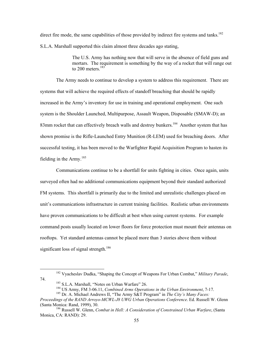direct fire mode, the same capabilities of those provided by indirect fire systems and tanks.<sup>182</sup> S.L.A. Marshall supported this claim almost three decades ago stating,

> The U.S. Army has nothing now that will serve in the absence of field guns and mortars. The requirement is something by the way of a rocket that will range out to 200 meters. $183$

The Army needs to continue to develop a system to address this requirement. There are systems that will achieve the required effects of standoff breaching that should be rapidly increased in the Army's inventory for use in training and operational employment. One such system is the Shoulder Launched, Multipurpose, Assault Weapon, Disposable (SMAW-D); an 83mm rocket that can effectively breach walls and destroy bunkers.<sup>184</sup> Another system that has shown promise is the Rifle-Launched Entry Munition (R-LEM) used for breaching doors. After successful testing, it has been moved to the Warfighter Rapid Acquisition Program to hasten its fielding in the Army.<sup>[185](#page-65-3)</sup>

Communications continue to be a shortfall for units fighting in cities. Once again, units surveyed often had no additional communications equipment beyond their standard authorized FM systems. This shortfall is primarily due to the limited and unrealistic challenges placed on unit's communications infrastructure in current training facilities. Realistic urban environments have proven communications to be difficult at best when using current systems. For example command posts usually located on lower floors for force protection must mount their antennas on rooftops. Yet standard antennas cannot be placed more than 3 stories above them without significant loss of signal strength.<sup>[186](#page-65-4)</sup>

 <sup>182</sup> Vyacheslav Dudka, "Shaping the Concept of Weapons For Urban Combat," *Military Parade*, <sup>183</sup> S.L.A. Marshall, "Notes on Urban Warfare" 26.<br><sup>184</sup> US Army, FM 3-06.11, *Combined Arms Operations in the Urban Environment*, 7-17.<br><sup>185</sup> Dr. A. Michael Andrews II, "The Army S&T Program" in *The City's Many Faces*:

<span id="page-65-1"></span><span id="page-65-0"></span>

<span id="page-65-2"></span>

<span id="page-65-4"></span><span id="page-65-3"></span>

*Proceedings of the RAND Arroyo-MCWL-J8 UWG Urban Operations Conference*. Ed. Russell W. Glenn (Santa Monica: Rand, 1999), 30.

<sup>186</sup> Russell W. Glenn, *Combat in Hell: A Consideration of Constrained Urban Warfare*, (Santa Monica, CA: RAND): 29.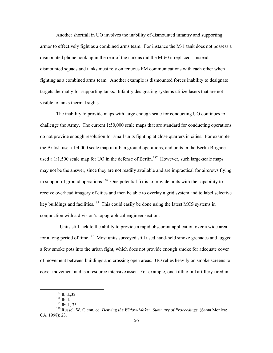Another shortfall in UO involves the inability of dismounted infantry and supporting armor to effectively fight as a combined arms team. For instance the M-1 tank does not possess a dismounted phone hook up in the rear of the tank as did the M-60 it replaced. Instead, dismounted squads and tanks must rely on tenuous FM communications with each other when fighting as a combined arms team. Another example is dismounted forces inability to designate targets thermally for supporting tanks. Infantry designating systems utilize lasers that are not visible to tanks thermal sights.

The inability to provide maps with large enough scale for conducting UO continues to challenge the Army. The current 1:50,000 scale maps that are standard for conducting operations do not provide enough resolution for small units fighting at close quarters in cities. For example the British use a 1:4,000 scale map in urban ground operations, and units in the Berlin Brigade used a 1:1,500 scale map for UO in the defense of Berlin.<sup>187</sup> However, such large-scale maps may not be the answer, since they are not readily available and are impractical for aircrews flying in support of ground operations.<sup>188</sup> One potential fix is to provide units with the capability to receive overhead imagery of cities and then be able to overlay a grid system and to label selective key buildings and facilities.<sup>189</sup> This could easily be done using the latest MCS systems in conjunction with a division's topographical engineer section.

 Units still lack to the ability to provide a rapid obscurant application over a wide area for a long period of time.<sup>190</sup> Most units surveyed still used hand-held smoke grenades and lugged a few smoke pots into the urban fight, which does not provide enough smoke for adequate cover of movement between buildings and crossing open areas. UO relies heavily on smoke screens to cover movement and is a resource intensive asset. For example, one-fifth of all artillery fired in

<span id="page-66-1"></span><span id="page-66-0"></span>

 $\frac{187}{188}$  Ibid., 32.<br> $\frac{188}{189}$  Ibid., 33.

<span id="page-66-3"></span><span id="page-66-2"></span>

<sup>190</sup> Russell W. Glenn, ed. *Denying the Widow-Maker: Summary of Proceedings,* (Santa Monica: CA, 1998): 23.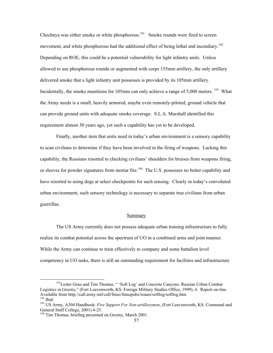Chechnya was either smoke or white phosphorous.<sup>191</sup> Smoke rounds were fired to screen movement, and white phosphorous had the additional effect of being lethal and incendiary.<sup>192</sup> Depending on ROE, this could be a potential vulnerability for light infantry units. Unless allowed to use phosphorous rounds or augmented with corps 155mm artillery, the only artillery delivered smoke that a light infantry unit possesses is provided by its 105mm artillery. Incidentally, the smoke munitions for 105mm can only achieve a range of 5,000 meters. <sup>193</sup> What the Army needs is a small, heavily armored, maybe even remotely-piloted, ground vehicle that can provide ground units with adequate smoke coverage. S.L.A. Marshall identified this requirement almost 30 years ago, yet such a capability has yet to be developed.

Finally, another item that units need in today's urban environment is a sensory capability to scan civilians to determine if they have been involved in the firing of weapons. Lacking this capability, the Russians resorted to checking civilians' shoulders for bruises from weapons firing, or sleeves for powder signatures from mortar fire.<sup>194</sup> The U.S. possesses no better capability and have resorted to using dogs at select checkpoints for such sensing. Clearly in today's convoluted urban environment, such sensory technology is necessary to separate true civilians from urban guerrillas.

#### Summary

The US Army currently does not possess adequate urban training infrastructure to fully realize its combat potential across the spectrum of UO in a combined arms and joint manner. While the Army can continue to train effectively to company and some battalion level competency in UO tasks, there is still an outstanding requirement for facilities and infrastructure

<span id="page-67-0"></span><sup>&</sup>lt;sup>191</sup>Lester Grau and Tim Thomas, "Soft Log' and Concrete Canyons: Russian Urban Combat Logistics in Grozny," (Fort Leavenworth, KS: Foreign Military Studies Office, 1999), 4. Report on-line.<br>Available from http://call.army.mil/call/fmso/fmsopubs/issues/softlog/softlog.htm <sup>192</sup> Ibid.<br><sup>193</sup> US Army. A304 Handbook: *Fire Support For Non-artillerymen*, (Fort Leavenworth, KS: Command and

<span id="page-67-2"></span><span id="page-67-1"></span>General Staff College, 2001) 4-25.

<span id="page-67-3"></span><sup>&</sup>lt;sup>194</sup> Tim Thomas, briefing presented on Grozny, March 2001.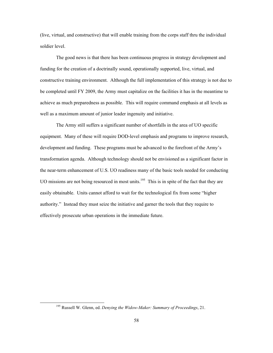(live, virtual, and constructive) that will enable training from the corps staff thru the individual soldier level.

The good news is that there has been continuous progress in strategy development and funding for the creation of a doctrinally sound, operationally supported, live, virtual, and constructive training environment. Although the full implementation of this strategy is not due to be completed until FY 2009, the Army must capitalize on the facilities it has in the meantime to achieve as much preparedness as possible. This will require command emphasis at all levels as well as a maximum amount of junior leader ingenuity and initiative.

The Army still suffers a significant number of shortfalls in the area of UO specific equipment. Many of these will require DOD-level emphasis and programs to improve research, development and funding. These programs must be advanced to the forefront of the Army's transformation agenda. Although technology should not be envisioned as a significant factor in the near-term enhancement of U.S. UO readiness many of the basic tools needed for conducting UO missions are not being resourced in most units.<sup>195</sup> This is in spite of the fact that they are easily obtainable. Units cannot afford to wait for the technological fix from some "higher authority." Instead they must seize the initiative and garner the tools that they require to effectively prosecute urban operations in the immediate future.

<span id="page-68-0"></span> <sup>195</sup> Russell W. Glenn, ed. *Denying the Widow-Maker: Summary of Proceedings*, 21.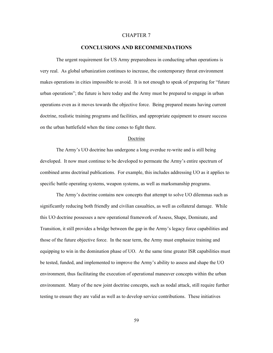#### CHAPTER 7

### **CONCLUSIONS AND RECOMMENDATIONS**

The urgent requirement for US Army preparedness in conducting urban operations is very real. As global urbanization continues to increase, the contemporary threat environment makes operations in cities impossible to avoid. It is not enough to speak of preparing for "future urban operations"; the future is here today and the Army must be prepared to engage in urban operations even as it moves towards the objective force. Being prepared means having current doctrine, realistic training programs and facilities, and appropriate equipment to ensure success on the urban battlefield when the time comes to fight there.

#### Doctrine

The Army's UO doctrine has undergone a long overdue re-write and is still being developed. It now must continue to be developed to permeate the Army's entire spectrum of combined arms doctrinal publications. For example, this includes addressing UO as it applies to specific battle operating systems, weapon systems, as well as marksmanship programs.

The Army's doctrine contains new concepts that attempt to solve UO dilemmas such as significantly reducing both friendly and civilian casualties, as well as collateral damage. While this UO doctrine possesses a new operational framework of Assess, Shape, Dominate, and Transition, it still provides a bridge between the gap in the Army's legacy force capabilities and those of the future objective force. In the near term, the Army must emphasize training and equipping to win in the domination phase of UO. At the same time greater ISR capabilities must be tested, funded, and implemented to improve the Army's ability to assess and shape the UO environment, thus facilitating the execution of operational maneuver concepts within the urban environment. Many of the new joint doctrine concepts, such as nodal attack, still require further testing to ensure they are valid as well as to develop service contributions. These initiatives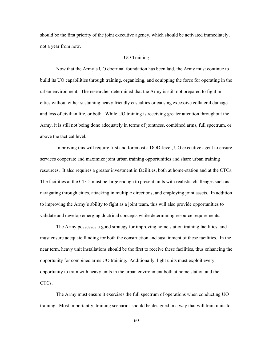should be the first priority of the joint executive agency, which should be activated immediately, not a year from now.

### UO Training

Now that the Army's UO doctrinal foundation has been laid, the Army must continue to build its UO capabilities through training, organizing, and equipping the force for operating in the urban environment. The researcher determined that the Army is still not prepared to fight in cities without either sustaining heavy friendly casualties or causing excessive collateral damage and loss of civilian life, or both. While UO training is receiving greater attention throughout the Army, it is still not being done adequately in terms of jointness, combined arms, full spectrum, or above the tactical level.

Improving this will require first and foremost a DOD-level, UO executive agent to ensure services cooperate and maximize joint urban training opportunities and share urban training resources. It also requires a greater investment in facilities, both at home-station and at the CTCs. The facilities at the CTCs must be large enough to present units with realistic challenges such as navigating through cities, attacking in multiple directions, and employing joint assets. In addition to improving the Army's ability to fight as a joint team, this will also provide opportunities to validate and develop emerging doctrinal concepts while determining resource requirements.

The Army possesses a good strategy for improving home station training facilities, and must ensure adequate funding for both the construction and sustainment of these facilities. In the near term, heavy unit installations should be the first to receive these facilities, thus enhancing the opportunity for combined arms UO training. Additionally, light units must exploit every opportunity to train with heavy units in the urban environment both at home station and the CTCs.

The Army must ensure it exercises the full spectrum of operations when conducting UO training. Most importantly, training scenarios should be designed in a way that will train units to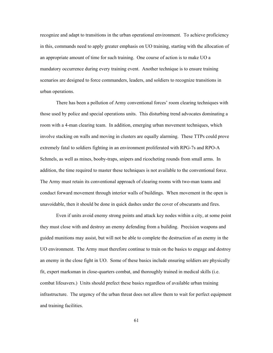recognize and adapt to transitions in the urban operational environment. To achieve proficiency in this, commands need to apply greater emphasis on UO training, starting with the allocation of an appropriate amount of time for such training. One course of action is to make UO a mandatory occurrence during every training event. Another technique is to ensure training scenarios are designed to force commanders, leaders, and soldiers to recognize transitions in urban operations.

There has been a pollution of Army conventional forces' room clearing techniques with those used by police and special operations units. This disturbing trend advocates dominating a room with a 4-man clearing team. In addition, emerging urban movement techniques, which involve stacking on walls and moving in clusters are equally alarming. These TTPs could prove extremely fatal to soldiers fighting in an environment proliferated with RPG-7s and RPO-A Schmels, as well as mines, booby-traps, snipers and ricocheting rounds from small arms. In addition, the time required to master these techniques is not available to the conventional force. The Army must retain its conventional approach of clearing rooms with two-man teams and conduct forward movement through interior walls of buildings. When movement in the open is unavoidable, then it should be done in quick dashes under the cover of obscurants and fires.

Even if units avoid enemy strong points and attack key nodes within a city, at some point they must close with and destroy an enemy defending from a building. Precision weapons and guided munitions may assist, but will not be able to complete the destruction of an enemy in the UO environment. The Army must therefore continue to train on the basics to engage and destroy an enemy in the close fight in UO. Some of these basics include ensuring soldiers are physically fit, expert marksman in close-quarters combat, and thoroughly trained in medical skills (i.e. combat lifesavers.) Units should prefect these basics regardless of available urban training infrastructure. The urgency of the urban threat does not allow them to wait for perfect equipment and training facilities.

61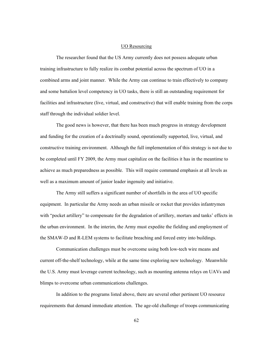### UO Resourcing

The researcher found that the US Army currently does not possess adequate urban training infrastructure to fully realize its combat potential across the spectrum of UO in a combined arms and joint manner. While the Army can continue to train effectively to company and some battalion level competency in UO tasks, there is still an outstanding requirement for facilities and infrastructure (live, virtual, and constructive) that will enable training from the corps staff through the individual soldier level.

The good news is however, that there has been much progress in strategy development and funding for the creation of a doctrinally sound, operationally supported, live, virtual, and constructive training environment. Although the full implementation of this strategy is not due to be completed until FY 2009, the Army must capitalize on the facilities it has in the meantime to achieve as much preparedness as possible. This will require command emphasis at all levels as well as a maximum amount of junior leader ingenuity and initiative.

The Army still suffers a significant number of shortfalls in the area of UO specific equipment. In particular the Army needs an urban missile or rocket that provides infantrymen with "pocket artillery" to compensate for the degradation of artillery, mortars and tanks' effects in the urban environment. In the interim, the Army must expedite the fielding and employment of the SMAW-D and R-LEM systems to facilitate breaching and forced entry into buildings.

Communication challenges must be overcome using both low-tech wire means and current off-the-shelf technology, while at the same time exploring new technology. Meanwhile the U.S. Army must leverage current technology, such as mounting antenna relays on UAVs and blimps to overcome urban communications challenges.

In addition to the programs listed above, there are several other pertinent UO resource requirements that demand immediate attention. The age-old challenge of troops communicating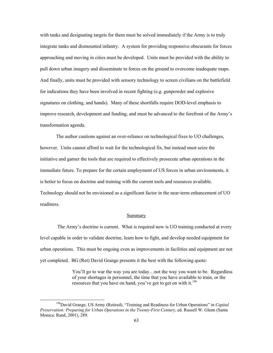with tanks and designating targets for them must be solved immediately if the Army is to truly integrate tanks and dismounted infantry. A system for providing responsive obscurants for forces approaching and moving in cities must be developed. Units must be provided with the ability to pull down urban imagery and disseminate to forces on the ground to overcome inadequate maps. And finally, units must be provided with sensory technology to screen civilians on the battlefield for indications they have been involved in recent fighting (e.g. gunpowder and explosive signatures on clothing, and hands). Many of these shortfalls require DOD-level emphasis to improve research, development and funding, and must be advanced to the forefront of the Army's transformation agenda.

The author cautions against an over-reliance on technological fixes to UO challenges, however. Units cannot afford to wait for the technological fix, but instead must seize the initiative and garner the tools that are required to effectively prosecute urban operations in the immediate future. To prepare for the certain employment of US forces in urban environments, it is better to focus on doctrine and training with the current tools and resources available. Technology should not be envisioned as a significant factor in the near-term enhancement of UO readiness.

#### Summary

 The Army's doctrine is current. What is required now is UO training conducted at every level capable in order to validate doctrine, learn how to fight, and develop needed equipment for urban operations. This must be ongoing even as improvements in facilities and equipment are not yet completed. BG (Ret) David Grange presents it the best with the following quote:

> You'll go to war the way you are today…not the way you want to be. Regardless of your shortages in personnel, the time that you have available to train, or the resources that you have on hand, you've got to get on with it.<sup>[196](#page-73-0)</sup>

<span id="page-73-0"></span>l

<sup>196</sup>David Grange, US Army (Retired), "Training and Readiness for Urban Operations" in *Capital Preservation: Preparing for Urban Operations in the Twenty-First Century*, ed. Russell W. Glenn (Santa Monica: Rand, 2001), 289.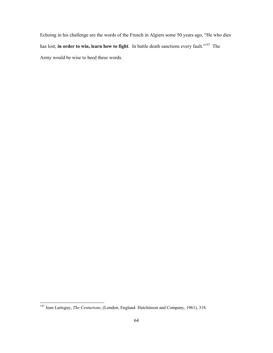Echoing in his challenge are the words of the French in Algiers some 50 years ago, "He who dies has lost; **in order to win, learn how to fight**. In battle death sanctions every fault."<sup>197</sup> The Army would be wise to heed these words.

<span id="page-74-0"></span> <sup>197</sup> Jean Larteguy, *The Centurions*, (London, England: Hutchinson and Company, 1961), 318.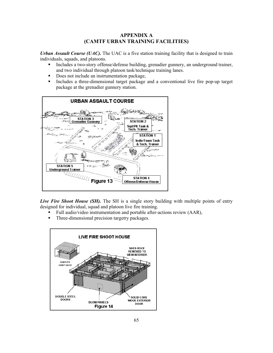### **APPENDIX A (CAMTF URBAN TRAINING FACILITIES)**

*Urban Assault Course (UAC)*. The UAC is a five station training facility that is designed to train individuals, squads, and platoons.

- Includes a two-story offense/defense building, grenadier gunnery, an underground trainer, and two individual through platoon task/technique training lanes.
- Does not include an instrumentation package,
- Includes a three-dimensional target package and a conventional live fire pop-up target package at the grenadier gunnery station.



*Live Fire Shoot House (SH)*. The SH is a single story building with multiple points of entry designed for individual, squad and platoon live fire training.

- Full audio/video instrumentation and portable after-actions review (AAR),
- Three-dimensional precision targetry packages.

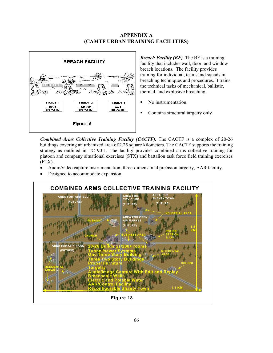## **APPENDIX A (CAMTF URBAN TRAINING FACILITIES)**



*Breach Facility (BF).* The BF is a training facility that includes wall, door, and window breach locations. The facility provides training for individual, teams and squads in breaching techniques and procedures. It trains the technical tasks of mechanical, ballistic, thermal, and explosive breaching.

- No instrumentation.
- Contains structural targetry only

*Combined Arms Collective Training Facility (CACTF).* The CACTF is a complex of 20-26 buildings covering an urbanized area of 2.25 square kilometers. The CACTF supports the training strategy as outlined in TC 90-1. The facility provides combined arms collective training for platoon and company situational exercises (STX) and battalion task force field training exercises (FTX).

- Audio/video capture instrumentation, three-dimensional precision targetry, AAR facility.
- Designed to accommodate expansion.

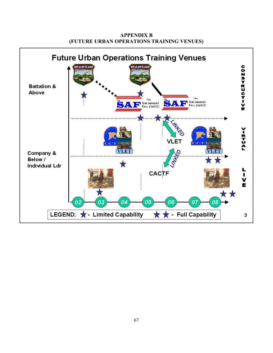

**APPENDIX B (FUTURE URBAN OPERATIONS TRAINING VENUES)**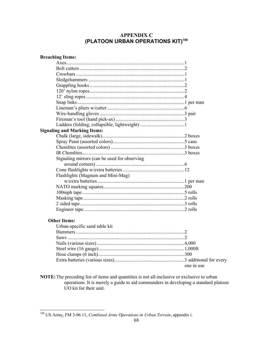# **APPENDIX C (PLATOON URBAN OPERATIONS KIT)[198](#page-78-0)**

| <b>Breaching Items:</b>                      |            |
|----------------------------------------------|------------|
|                                              |            |
|                                              |            |
|                                              |            |
|                                              |            |
|                                              |            |
|                                              |            |
|                                              |            |
|                                              |            |
|                                              |            |
|                                              |            |
|                                              |            |
|                                              |            |
| <b>Signaling and Marking Items:</b>          |            |
|                                              |            |
|                                              |            |
|                                              |            |
|                                              |            |
| Signaling mirrors (can be used for observing |            |
|                                              |            |
|                                              |            |
| Flashlights (Magnum and Mini-Mag)            |            |
|                                              |            |
|                                              |            |
|                                              |            |
|                                              |            |
|                                              |            |
|                                              |            |
|                                              |            |
| <b>Other Items:</b>                          |            |
| Urban-specific sand table kit                |            |
|                                              |            |
|                                              |            |
|                                              |            |
|                                              |            |
|                                              |            |
|                                              |            |
|                                              | one in use |

**NOTE:**The preceding list of items and quantities is not all-inclusive or exclusive to urban operations. It is merely a guide to aid commanders in developing a standard platoon UO kit for their unit.

l

<span id="page-78-0"></span><sup>198</sup> US Army, FM 3-06.11, *Combined Arms Operations in Urban Terrain*, appendix i.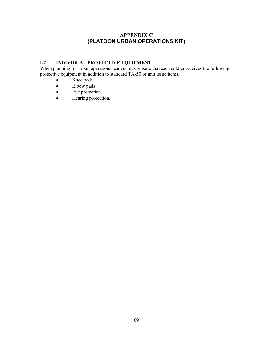# **APPENDIX C (PLATOON URBAN OPERATIONS KIT)**

### **I-2. INDIVIDUAL PROTECTIVE EQUIPMENT**

When planning for urban operations leaders must ensure that each soldier receives the following protective equipment in addition to standard TA-50 or unit issue items.

- Knee pads.
- Elbow pads.
- Eye protection.
- Hearing protection.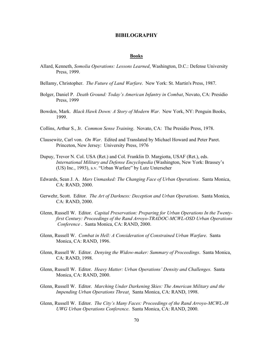### **BIBILOGRAPHY**

### **Books**

- Allard, Kenneth, *Somolia Operations: Lessons Learned*, Washington, D.C.: Defense University Press, 1999.
- Bellamy, Christopher. *The Future of Land Warfare*. New York: St. Martin's Press, 1987.
- Bolger, Daniel P. *Death Ground: Today's American Infantry in Combat*, Novato, CA: Presidio Press, 1999
- Bowden, Mark. *Black Hawk Down: A Story of Modern War*. New York, NY: Penguin Books, 1999.
- Collins, Arthur S., Jr. *Common Sense Training*. Novato, CA: The Presidio Press, 1978.
- Clausewitz, Carl von. *On War*. Edited and Translated by Michael Howard and Peter Paret. Princeton, New Jersey: University Press, 1976
- Dupuy, Trevor N. Col. USA (Ret.) and Col. Franklin D. Margiotta, USAF (Ret.), eds. *International Military and Defense Encyclopedia* (Washington, New York: Brassey's (US) Inc., 1993), s.v. "Urban Warfare" by Lutz Unterseher
- Edwards, Sean J. A. *Mars Unmasked: The Changing Face of Urban Operations*. Santa Monica, CA: RAND, 2000.
- Gerwehr, Scott. Editor. *The Art of Darkness: Deception and Urban Operations*. Santa Monica, CA: RAND, 2000.
- Glenn, Russell W. Editor. *Capital Preservation: Preparing for Urban Operations In the Twentyfirst Century: Proceedings of the Rand Arroyo-TRADOC-MCWL-OSD Urban Operations Conference* . Santa Monica, CA: RAND, 2000.
- Glenn, Russell W. *Combat in Hell: A Consideration of Constrained Urban Warfare*. Santa Monica, CA: RAND, 1996.
- Glenn, Russell W. Editor. *Denying the Widow-maker: Summary of Proceedings*. Santa Monica, CA: RAND, 1998.
- Glenn, Russell W. Editor. *Heavy Matter: Urban Operations' Density and Challenges*. Santa Monica, CA: RAND, 2000.
- Glenn, Russell W. Editor. *Marching Under Darkening Skies: The American Military and the Impending Urban Operations Threat*. Santa Monica, CA: RAND, 1998.
- Glenn, Russell W. Editor. *The City's Many Faces: Proceedings of the Rand Arroyo-MCWL-J8 UWG Urban Operations Conference*. Santa Monica, CA: RAND, 2000.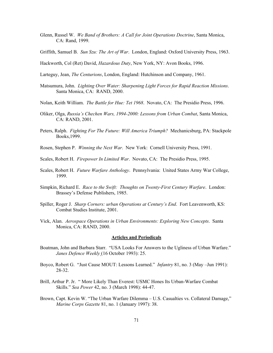- Glenn, Russel W. *We Band of Brothers: A Call for Joint Operations Doctrine*, Santa Monica, CA: Rand, 1999.
- Griffith, Samuel B. *Sun Szu: The Art of War*. London, England: Oxford University Press, 1963.
- Hackworth, Col (Ret) David, *Hazardous Duty*, New York, NY: Avon Books, 1996.
- Larteguy, Jean, *The Centurions*, London, England: Hutchinson and Company, 1961.
- Matsumura, John. *Lighting Over Water: Sharpening Light Forces for Rapid Reaction Missions*. Santa Monica, CA: RAND, 2000.
- Nolan, Keith William. *The Battle for Hue: Tet 1968*. Novato, CA: The Presidio Press, 1996.
- Oliker, Olga, *Russia's Chechen Wars, 1994-2000: Lessons from Urban Combat*, Santa Monica, CA: RAND, 2001.
- Peters, Ralph. *Fighting For The Future: Will America Triumph?* Mechanicsburg, PA: Stackpole Books,1999.
- Rosen, Stephen P. *Winning the Next War*. New York: Cornell University Press, 1991.
- Scales, Robert H. *Firepower In Limited War*. Novato, CA: The Presidio Press, 1995.
- Scales, Robert H. *Future Warfare Anthology*. Pennsylvania: United States Army War College, 1999.
- Simpkin, Richard E. *Race to the Swift: Thoughts on Twenty-First Century Warfare*. London: Brassey's Defense Publishers, 1985.
- Spiller, Roger J. *Sharp Corners: urban Operations at Century's End*. Fort Leavenworth, KS: Combat Studies Institute, 2001.
- Vick, Alan. *Aerospace Operations in Urban Environments: Exploring New Concepts*. Santa Monica, CA: RAND, 2000.

### **Articles and Periodicals**

- Boatman, John and Barbara Starr. "USA Looks For Answers to the Ugliness of Urban Warfare." *Janes Defence Weekly* (16 October 1993): 25.
- Boyco, Robert G. "Just Cause MOUT: Lessons Learned." *Infantry* 81, no. 3 (May –Jun 1991): 28-32.
- Brill, Arthur P. Jr. " More Likely Than Everest: USMC Hones Its Urban-Warfare Combat Skills." *Sea Power* 42, no. 3 (March 1998): 44-47.
- Brown, Capt. Kevin W. "The Urban Warfare Dilemma U.S. Casualties vs. Collateral Damage," *Marine Corps Gazette* 81, no. 1 (January 1997): 38.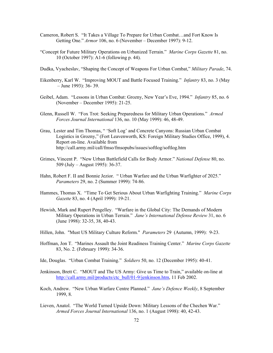- Cameron, Robert S. "It Takes a Village To Prepare for Urban Combat…and Fort Know Is Getting One." *Armor* 106, no. 6 (November – December 1997): 9-12.
- "Concept for Future Military Operations on Urbanized Terrain." *Marine Corps Gazette* 81, no. 10 (October 1997): A1-6 (following p. 44).
- Dudka, Vyacheslav, "Shaping the Concept of Weapons For Urban Combat," *Military Parade*, 74.
- Eikenberry, Karl W. "Improving MOUT and Battle Focused Training." *Infantry* 83, no. 3 (May – June 1993): 36- 39.
- Geibel, Adam. "Lessons in Urban Combat: Grozny, New Year's Eve, 1994." *Infantry* 85, no. 6 (November – December 1995): 21-25.
- Glenn, Russell W. "Fox Trot: Seeking Preparedness for Military Urban Operations." *Armed Forces Journal International* 136, no. 10 (May 1999): 46, 48-49.
- Grau, Lester and Tim Thomas, " 'Soft Log' and Concrete Canyons: Russian Urban Combat Logistics in Grozny," (Fort Leavenworth, KS: Foreign Military Studies Office, 1999), 4. Report on-line. Available from http://call.army.mil/call/fmso/fmsopubs/issues/softlog/softlog.htm
- Grimes, Vincent P. "New Urban Battlefield Calls for Body Armor." *National Defense* 80, no. 509 (July – August 1995): 36-37.
- Hahn, Robert F. II and Bonnie Jezior. " Urban Warfare and the Urban Warfighter of 2025." *Parameters* 29, no. 2 (Summer 1999): 74-86.
- Hammes, Thomas X. "Time To Get Serious About Urban Warfighting Training." *Marine Corps Gazette* 83, no. 4 (April 1999): 19-21.
- Hewish, Mark and Rupert Pengelley. "Warfare in the Global City: The Demands of Modern Military Operations in Urban Terrain." *Jane's International Defense Review* 31, no. 6 (June 1998): 32-35, 38, 40-43.
- Hillen, John. "Must US Military Culture Reform." *Parameters* 29 (Autumn, 1999): 9-23.
- Hoffman, Jon T. "Marines Assault the Joint Readiness Training Center." *Marine Corps Gazette* 83, No. 2. (February 1999): 34-36.
- Ide, Douglas. "Urban Combat Training." *Soldiers* 50, no. 12 (December 1995): 40-41.
- Jenkinson, Brett C. "MOUT and The US Army: Give us Time to Train," available on-line at [http://call.army.mil/products/ctc\\_bull/01-9/jenkinson.htm](http://call.army.mil/products/ctc_bull/01-9/jenkinson.htm), 11 Feb 2002.
- Koch, Andrew. "New Urban Warfare Centre Planned." *Jane's Defence Weekly*, 8 September 1999, 8.
- Lieven, Anatol. "The World Turned Upside Down: Military Lessons of the Chechen War." *Armed Forces Journal International* 136, no. 1 (August 1998): 40, 42-43.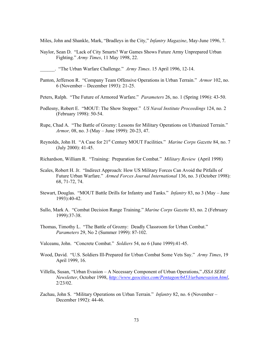Miles, John and Shankle, Mark, "Bradleys in the City," *Infantry Magazine*, May-June 1996, 7.

Naylor, Sean D. "Lack of City Smarts? War Games Shows Future Army Unprepared Urban Fighting." *Army Times*, 11 May 1998, 22.

\_\_\_\_\_\_. "The Urban Warfare Challenge." *Army Times*. 15 April 1996, 12-14.

- Panton, Jefferson R. "Company Team Offensive Operations in Urban Terrain." *Armor* 102, no. 6 (November – December 1993): 21-25.
- Peters, Ralph. "The Future of Armored Warfare." *Parameters* 26, no. 1 (Spring 1996): 43-50.
- Podlesny, Robert E. "MOUT: The Show Stopper." *US Naval Institute Proceedings* 124, no. 2 (February 1998): 50-54.
- Rupe, Chad A. "The Battle of Grozny: Lessons for Military Operations on Urbanized Terrain." *Armor,* 08, no. 3 (May – June 1999): 20-23, 47.
- Reynolds, John H. "A Case for 21st Century MOUT Facilities." *Marine Corps Gazette* 84, no. 7 (July 2000): 41-45.
- Richardson, William R. "Training: Preparation for Combat." *Military Review* (April 1998)
- Scales, Robert H. Jr. "Indirect Approach: How US Military Forces Can Avoid the Pitfalls of Future Urban Warfare." *Armed Forces Journal International* 136, no. 3 (October 1998): 68, 71-72, 74.
- Stewart, Douglas. "MOUT Battle Drills for Infantry and Tanks." *Infantry* 83, no 3 (May June 1993):40-42.
- Sullo, Mark A. "Combat Decision Range Training." *Marine Corps Gazette* 83, no. 2 (February 1999):37-38.
- Thomas, Timothy L. "The Battle of Grozny: Deadly Classroom for Urban Combat." *Parameters* 29, No 2 (Summer 1999): 87-102.
- Valceanu, John. "Concrete Combat." *Soldiers* 54, no 6 (June 1999):41-45.
- Wood, David. "U.S. Soldiers Ill-Prepared for Urban Combat Some Vets Say." *Army Times*, 19 April 1999, 16.
- Villella, Susan, "Urban Evasion A Necessary Component of Urban Operations," *JSSA SERE Newsletter*, October 1998, *<http://www.geocities.com/Pentagon/6453/urbanevasion.html>*, 2/23/02.
- Zachau, John S. "Military Operations on Urban Terrain." *Infantry* 82, no. 6 (November December 1992): 44-46.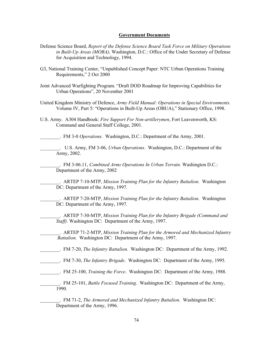#### **Government Documents**

- Defense Science Board, *Report of the Defense Science Board Task Force on Military Operations in Built-Up Areas (MOBA),* Washington, D.C.: Office of the Under Secretary of Defense for Acquisition and Technology, 1994.
- G3, National Training Center, "Unpublished Concept Paper: NTC Urban Operations Training Requirements," 2 Oct 2000
- Joint Advanced Warfighting Program. "Draft DOD Roadmap for Improving Capabilities for Urban Operations", 20 November 2001
- United Kingdom Ministry of Defence, *Army Field Manual: Operations in Special Environments.* Volume IV, Part 5: "Operations in Built-Up Areas (OBUA)," Stationary Office, 1998.
- U.S. Army. A304 Handbook: *Fire Support For Non-artillerymen*, Fort Leavenworth, KS: Command and General Staff College, 2001.
- \_\_\_\_\_\_\_\_. FM 3-0 *Operations*. Washington, D.C.: Department of the Army, 2001.

\_\_\_\_\_\_\_\_. U.S. Army, FM 3-06, *Urban Operations*. Washington, D.C.: Department of the Army, 2002.

\_\_\_\_\_\_\_\_. FM 3-06.11, *Combined Arms Operations In Urban Terrain.* Washington D.C.: Department of the Army, 2002

\_\_\_\_\_\_\_\_. ARTEP 7-10-MTP, *Mission Training Plan for the Infantry Battalion*. Washington DC: Department of the Army, 1997.

\_\_\_\_\_\_\_\_. ARTEP 7-20-MTP, *Mission Training Plan for the Infantry Battalion*. Washington DC: Department of the Army, 1997.

\_\_\_\_\_\_\_\_. ARTEP 7-30-MTP, *Mission Training Plan for the Infantry Brigade (Command and Staff).* Washington DC: Department of the Army, 1997.

\_\_\_\_\_\_\_\_. ARTEP 71-2-MTP, *Mission Training Plan for the Armored and Mechanized Infantry Battalion.* Washington DC: Department of the Army, 1997.

- \_\_\_\_\_\_\_\_. FM 7-20, *The Infantry Battalion*. Washington DC: Department of the Army, 1992.
- \_\_\_\_\_\_\_\_. FM 7-30, *The Infantry Brigade*. Washington DC: Department of the Army, 1995.
- \_\_\_\_\_\_\_\_. FM 25-100, *Training the Force*. Washington DC: Department of the Army, 1988.
- \_\_\_\_\_\_\_\_. FM 25-101, *Battle Focused Training*. Washington DC: Department of the Army, 1990.

\_\_\_\_\_\_\_\_. FM 71-2, *The Armored and Mechanized Infantry Battalion*. Washington DC: Department of the Army, 1996.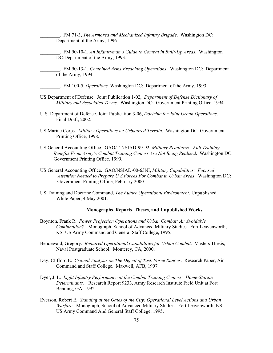\_\_\_\_\_\_\_\_. FM 71-3, *The Armored and Mechanized Infantry Brigade*. Washington DC: Department of the Army, 1996.

\_\_\_\_\_\_\_\_. FM 90-10-1, *An Infantryman's Guide to Combat in Built-Up Areas*. Washington DC:Department of the Army, 1993.

\_\_\_\_\_\_\_\_. FM 90-13-1, *Combined Arms Breaching Operations*. Washington DC: Department of the Army, 1994.

- \_\_\_\_\_\_\_\_. FM 100-5, *Operations*. Washington DC: Department of the Army, 1993.
- US Department of Defense. Joint Publication 1-02, *Department of Defense Dictionary of Military and Associated Terms*. Washington DC: Government Printing Office, 1994.
- U.S. Department of Defense. Joint Publication 3-06, *Doctrine for Joint Urban Operations*. Final Draft, 2002.
- US Marine Corps. *Military Operations on Urbanized Terrain*. Washington DC: Government Printing Office, 1998.
- US General Accounting Office. GAO/T-NSIAD-99-92, *Military Readiness: Full Training Benefits From Army's Combat Training Centers Are Not Being Realized*. Washington DC: Government Printing Office, 1999.
- US General Accounting Office. GAO/NSIAD-00-63NI, *Military Capabilities: Focused Attention Needed to Prepare U.S.Forces For Combat in Urban Areas*. Washington DC: Government Printing Office, February 2000.
- US Training and Doctrine Command, *The Future Operational Environment*, Unpublished White Paper, 4 May 2001.

### **Monographs, Reports, Theses, and Unpublished Works**

- Boynton, Frank R. *Power Projection Operations and Urban Combat: An Avoidable Combination?* Monograph, School of Advanced Military Studies. Fort Leavenworth, KS: US Army Command and General Staff College, 1995.
- Bendewald, Gregory. *Required Operational Capabilities for Urban Combat*. Masters Thesis, Naval Postgraduate School. Monterey, CA, 2000.
- Day, Clifford E. *Critical Analysis on The Defeat of Task Force Ranger*. Research Paper, Air Command and Staff College. Maxwell, AFB, 1997.
- Dyer, J. L. *Light Infantry Performance at the Combat Training Centers: Home-Station Determinants.* Research Report 9233, Army Research Institute Field Unit at Fort Benning, GA, 1992.
- Everson, Robert E. *Standing at the Gates of the City: Operational Level Actions and Urban Warfare.* Monograph, School of Advanced Military Studies. Fort Leavenworth, KS: US Army Command And General Staff College, 1995.